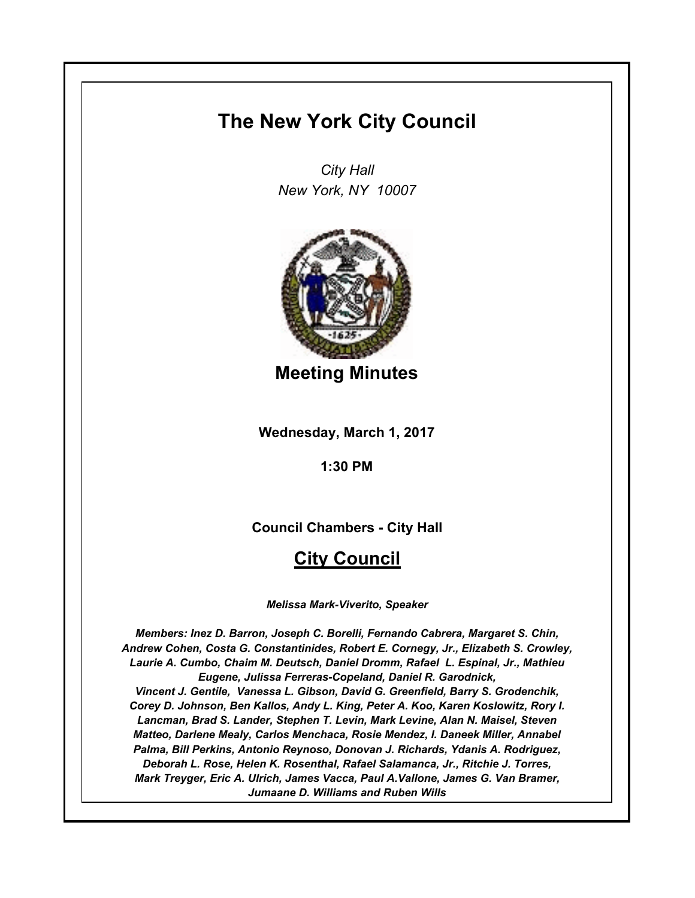# **The New York City Council**

*City Hall New York, NY 10007*



**Meeting Minutes**

**Wednesday, March 1, 2017**

**1:30 PM**

**Council Chambers - City Hall**

# **City Council**

*Melissa Mark-Viverito, Speaker*

*Members: Inez D. Barron, Joseph C. Borelli, Fernando Cabrera, Margaret S. Chin, Andrew Cohen, Costa G. Constantinides, Robert E. Cornegy, Jr., Elizabeth S. Crowley, Laurie A. Cumbo, Chaim M. Deutsch, Daniel Dromm, Rafael L. Espinal, Jr., Mathieu Eugene, Julissa Ferreras-Copeland, Daniel R. Garodnick, Vincent J. Gentile, Vanessa L. Gibson, David G. Greenfield, Barry S. Grodenchik, Corey D. Johnson, Ben Kallos, Andy L. King, Peter A. Koo, Karen Koslowitz, Rory I. Lancman, Brad S. Lander, Stephen T. Levin, Mark Levine, Alan N. Maisel, Steven Matteo, Darlene Mealy, Carlos Menchaca, Rosie Mendez, I. Daneek Miller, Annabel Palma, Bill Perkins, Antonio Reynoso, Donovan J. Richards, Ydanis A. Rodriguez, Deborah L. Rose, Helen K. Rosenthal, Rafael Salamanca, Jr., Ritchie J. Torres, Mark Treyger, Eric A. Ulrich, James Vacca, Paul A.Vallone, James G. Van Bramer, Jumaane D. Williams and Ruben Wills*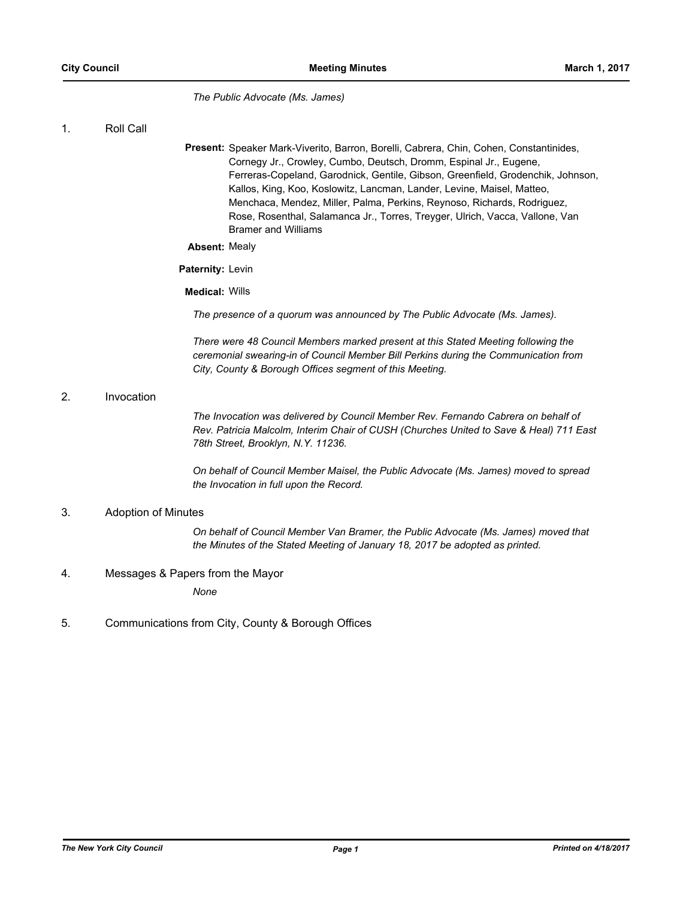*The Public Advocate (Ms. James)*

1. Roll Call

Present: Speaker Mark-Viverito, Barron, Borelli, Cabrera, Chin, Cohen, Constantinides, Cornegy Jr., Crowley, Cumbo, Deutsch, Dromm, Espinal Jr., Eugene, Ferreras-Copeland, Garodnick, Gentile, Gibson, Greenfield, Grodenchik, Johnson, Kallos, King, Koo, Koslowitz, Lancman, Lander, Levine, Maisel, Matteo, Menchaca, Mendez, Miller, Palma, Perkins, Reynoso, Richards, Rodriguez, Rose, Rosenthal, Salamanca Jr., Torres, Treyger, Ulrich, Vacca, Vallone, Van Bramer and Williams

#### **Absent:** Mealy

**Paternity:** Levin

#### **Medical:** Wills

*The presence of a quorum was announced by The Public Advocate (Ms. James).*

*There were 48 Council Members marked present at this Stated Meeting following the ceremonial swearing-in of Council Member Bill Perkins during the Communication from City, County & Borough Offices segment of this Meeting.*

# 2. Invocation

*The Invocation was delivered by Council Member Rev. Fernando Cabrera on behalf of Rev. Patricia Malcolm, Interim Chair of CUSH (Churches United to Save & Heal) 711 East 78th Street, Brooklyn, N.Y. 11236.*

*On behalf of Council Member Maisel, the Public Advocate (Ms. James) moved to spread the Invocation in full upon the Record.*

# 3. Adoption of Minutes

*On behalf of Council Member Van Bramer, the Public Advocate (Ms. James) moved that the Minutes of the Stated Meeting of January 18, 2017 be adopted as printed.*

4. Messages & Papers from the Mayor

*None*

5. Communications from City, County & Borough Offices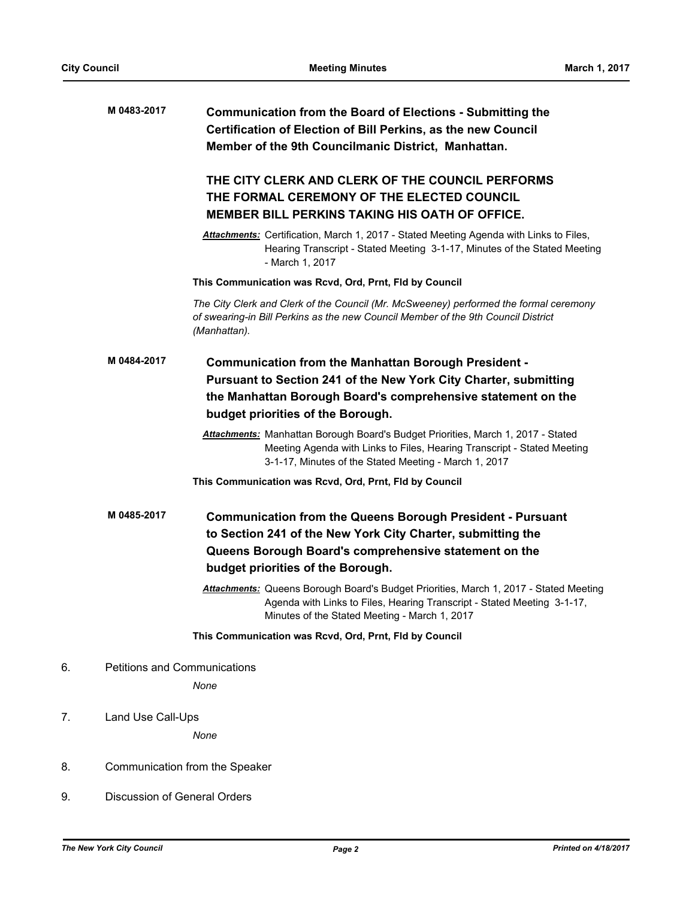|    | M 0483-2017                         | <b>Communication from the Board of Elections - Submitting the</b><br><b>Certification of Election of Bill Perkins, as the new Council</b><br>Member of the 9th Councilmanic District, Manhattan.                                     |
|----|-------------------------------------|--------------------------------------------------------------------------------------------------------------------------------------------------------------------------------------------------------------------------------------|
|    |                                     | THE CITY CLERK AND CLERK OF THE COUNCIL PERFORMS<br>THE FORMAL CEREMONY OF THE ELECTED COUNCIL<br><b>MEMBER BILL PERKINS TAKING HIS OATH OF OFFICE.</b>                                                                              |
|    |                                     | Attachments: Certification, March 1, 2017 - Stated Meeting Agenda with Links to Files,<br>Hearing Transcript - Stated Meeting 3-1-17, Minutes of the Stated Meeting<br>- March 1, 2017                                               |
|    |                                     | This Communication was Rcvd, Ord, Prnt, Fld by Council                                                                                                                                                                               |
|    |                                     | The City Clerk and Clerk of the Council (Mr. McSweeney) performed the formal ceremony<br>of swearing-in Bill Perkins as the new Council Member of the 9th Council District<br>(Manhattan).                                           |
|    | M 0484-2017                         | <b>Communication from the Manhattan Borough President -</b><br>Pursuant to Section 241 of the New York City Charter, submitting<br>the Manhattan Borough Board's comprehensive statement on the<br>budget priorities of the Borough. |
|    |                                     | Attachments: Manhattan Borough Board's Budget Priorities, March 1, 2017 - Stated<br>Meeting Agenda with Links to Files, Hearing Transcript - Stated Meeting<br>3-1-17, Minutes of the Stated Meeting - March 1, 2017                 |
|    |                                     | This Communication was Rcvd, Ord, Prnt, Fld by Council                                                                                                                                                                               |
|    | M 0485-2017                         | <b>Communication from the Queens Borough President - Pursuant</b><br>to Section 241 of the New York City Charter, submitting the<br>Queens Borough Board's comprehensive statement on the<br>budget priorities of the Borough.       |
|    |                                     | <b>Attachments:</b> Queens Borough Board's Budget Priorities, March 1, 2017 - Stated Meeting<br>Agenda with Links to Files, Hearing Transcript - Stated Meeting 3-1-17,<br>Minutes of the Stated Meeting - March 1, 2017             |
|    |                                     | This Communication was Rcvd, Ord, Prnt, Fld by Council                                                                                                                                                                               |
| 6. | <b>Petitions and Communications</b> | None                                                                                                                                                                                                                                 |
|    |                                     |                                                                                                                                                                                                                                      |
| 7. | Land Use Call-Ups                   |                                                                                                                                                                                                                                      |
|    |                                     | None                                                                                                                                                                                                                                 |
| 8. |                                     | Communication from the Speaker                                                                                                                                                                                                       |

9. Discussion of General Orders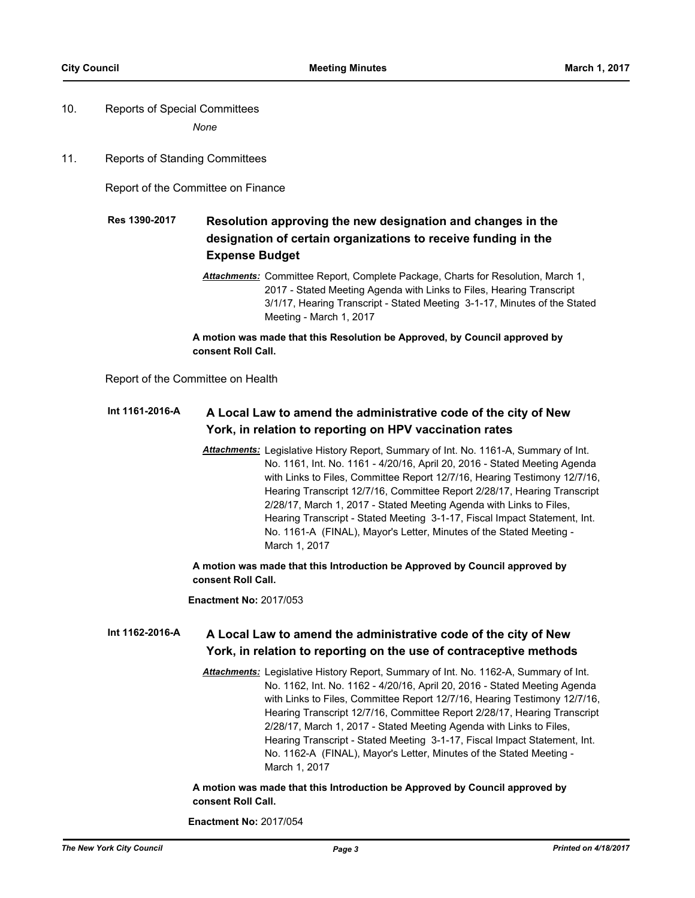# 10. Reports of Special Committees

*None*

11. Reports of Standing Committees

Report of the Committee on Finance

#### **Resolution approving the new designation and changes in the designation of certain organizations to receive funding in the Expense Budget Res 1390-2017**

*Attachments:* Committee Report, Complete Package, Charts for Resolution, March 1, 2017 - Stated Meeting Agenda with Links to Files, Hearing Transcript 3/1/17, Hearing Transcript - Stated Meeting 3-1-17, Minutes of the Stated Meeting - March 1, 2017

# **A motion was made that this Resolution be Approved, by Council approved by consent Roll Call.**

Report of the Committee on Health

#### **A Local Law to amend the administrative code of the city of New York, in relation to reporting on HPV vaccination rates Int 1161-2016-A**

*Attachments:* Legislative History Report, Summary of Int. No. 1161-A, Summary of Int. No. 1161, Int. No. 1161 - 4/20/16, April 20, 2016 - Stated Meeting Agenda with Links to Files, Committee Report 12/7/16, Hearing Testimony 12/7/16, Hearing Transcript 12/7/16, Committee Report 2/28/17, Hearing Transcript 2/28/17, March 1, 2017 - Stated Meeting Agenda with Links to Files, Hearing Transcript - Stated Meeting 3-1-17, Fiscal Impact Statement, Int. No. 1161-A (FINAL), Mayor's Letter, Minutes of the Stated Meeting - March 1, 2017

**A motion was made that this Introduction be Approved by Council approved by consent Roll Call.**

**Enactment No:** 2017/053

#### **A Local Law to amend the administrative code of the city of New York, in relation to reporting on the use of contraceptive methods Int 1162-2016-A**

*Attachments:* Legislative History Report, Summary of Int. No. 1162-A, Summary of Int. No. 1162, Int. No. 1162 - 4/20/16, April 20, 2016 - Stated Meeting Agenda with Links to Files, Committee Report 12/7/16, Hearing Testimony 12/7/16, Hearing Transcript 12/7/16, Committee Report 2/28/17, Hearing Transcript 2/28/17, March 1, 2017 - Stated Meeting Agenda with Links to Files, Hearing Transcript - Stated Meeting 3-1-17, Fiscal Impact Statement, Int. No. 1162-A (FINAL), Mayor's Letter, Minutes of the Stated Meeting - March 1, 2017

# **A motion was made that this Introduction be Approved by Council approved by consent Roll Call.**

**Enactment No:** 2017/054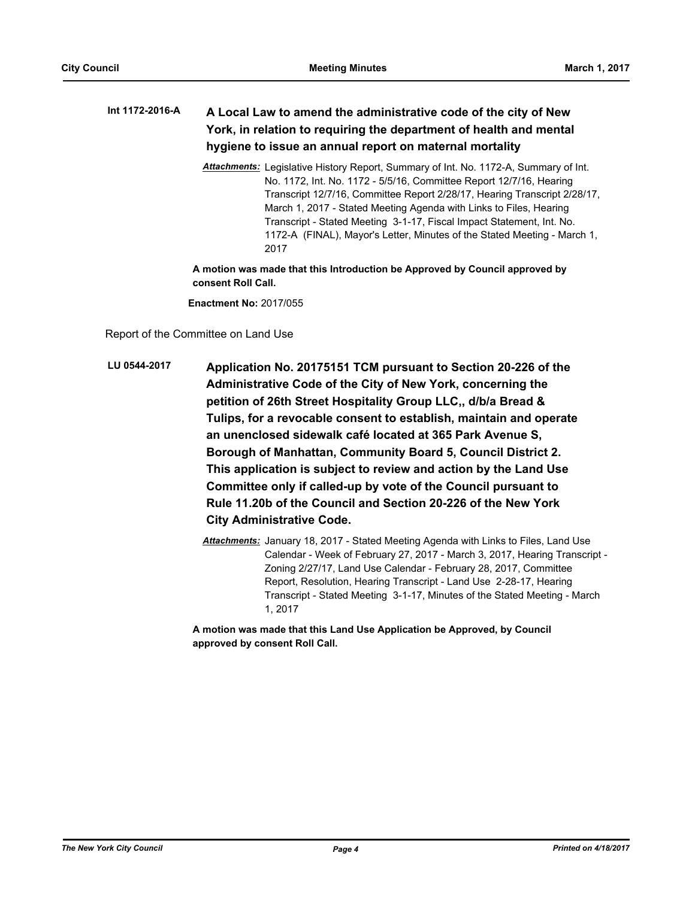#### **A Local Law to amend the administrative code of the city of New York, in relation to requiring the department of health and mental hygiene to issue an annual report on maternal mortality Int 1172-2016-A**

*Attachments:* Legislative History Report, Summary of Int. No. 1172-A, Summary of Int. No. 1172, Int. No. 1172 - 5/5/16, Committee Report 12/7/16, Hearing Transcript 12/7/16, Committee Report 2/28/17, Hearing Transcript 2/28/17, March 1, 2017 - Stated Meeting Agenda with Links to Files, Hearing Transcript - Stated Meeting 3-1-17, Fiscal Impact Statement, Int. No. 1172-A (FINAL), Mayor's Letter, Minutes of the Stated Meeting - March 1, 2017

**A motion was made that this Introduction be Approved by Council approved by consent Roll Call.**

**Enactment No:** 2017/055

Report of the Committee on Land Use

- **Application No. 20175151 TCM pursuant to Section 20-226 of the Administrative Code of the City of New York, concerning the petition of 26th Street Hospitality Group LLC,, d/b/a Bread & Tulips, for a revocable consent to establish, maintain and operate an unenclosed sidewalk café located at 365 Park Avenue S, Borough of Manhattan, Community Board 5, Council District 2. This application is subject to review and action by the Land Use Committee only if called-up by vote of the Council pursuant to Rule 11.20b of the Council and Section 20-226 of the New York City Administrative Code. LU 0544-2017**
	- *Attachments:* January 18, 2017 Stated Meeting Agenda with Links to Files, Land Use Calendar - Week of February 27, 2017 - March 3, 2017, Hearing Transcript - Zoning 2/27/17, Land Use Calendar - February 28, 2017, Committee Report, Resolution, Hearing Transcript - Land Use 2-28-17, Hearing Transcript - Stated Meeting 3-1-17, Minutes of the Stated Meeting - March 1, 2017

**A motion was made that this Land Use Application be Approved, by Council approved by consent Roll Call.**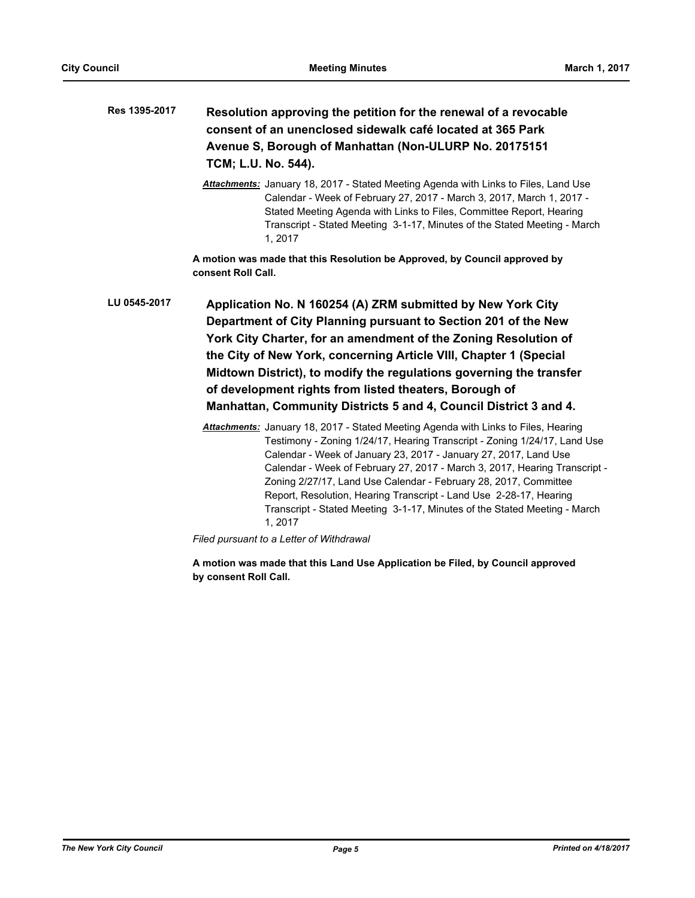| Res 1395-2017 | Resolution approving the petition for the renewal of a revocable |
|---------------|------------------------------------------------------------------|
|               | consent of an unenclosed sidewalk café located at 365 Park       |
|               | Avenue S, Borough of Manhattan (Non-ULURP No. 20175151           |
|               | TCM; L.U. No. 544).                                              |

*Attachments:* January 18, 2017 - Stated Meeting Agenda with Links to Files, Land Use Calendar - Week of February 27, 2017 - March 3, 2017, March 1, 2017 - Stated Meeting Agenda with Links to Files, Committee Report, Hearing Transcript - Stated Meeting 3-1-17, Minutes of the Stated Meeting - March 1, 2017

**A motion was made that this Resolution be Approved, by Council approved by consent Roll Call.**

**Application No. N 160254 (A) ZRM submitted by New York City Department of City Planning pursuant to Section 201 of the New York City Charter, for an amendment of the Zoning Resolution of the City of New York, concerning Article VIII, Chapter 1 (Special Midtown District), to modify the regulations governing the transfer of development rights from listed theaters, Borough of Manhattan, Community Districts 5 and 4, Council District 3 and 4. LU 0545-2017**

> *Attachments:* January 18, 2017 - Stated Meeting Agenda with Links to Files, Hearing Testimony - Zoning 1/24/17, Hearing Transcript - Zoning 1/24/17, Land Use Calendar - Week of January 23, 2017 - January 27, 2017, Land Use Calendar - Week of February 27, 2017 - March 3, 2017, Hearing Transcript - Zoning 2/27/17, Land Use Calendar - February 28, 2017, Committee Report, Resolution, Hearing Transcript - Land Use 2-28-17, Hearing Transcript - Stated Meeting 3-1-17, Minutes of the Stated Meeting - March 1, 2017

*Filed pursuant to a Letter of Withdrawal*

**A motion was made that this Land Use Application be Filed, by Council approved by consent Roll Call.**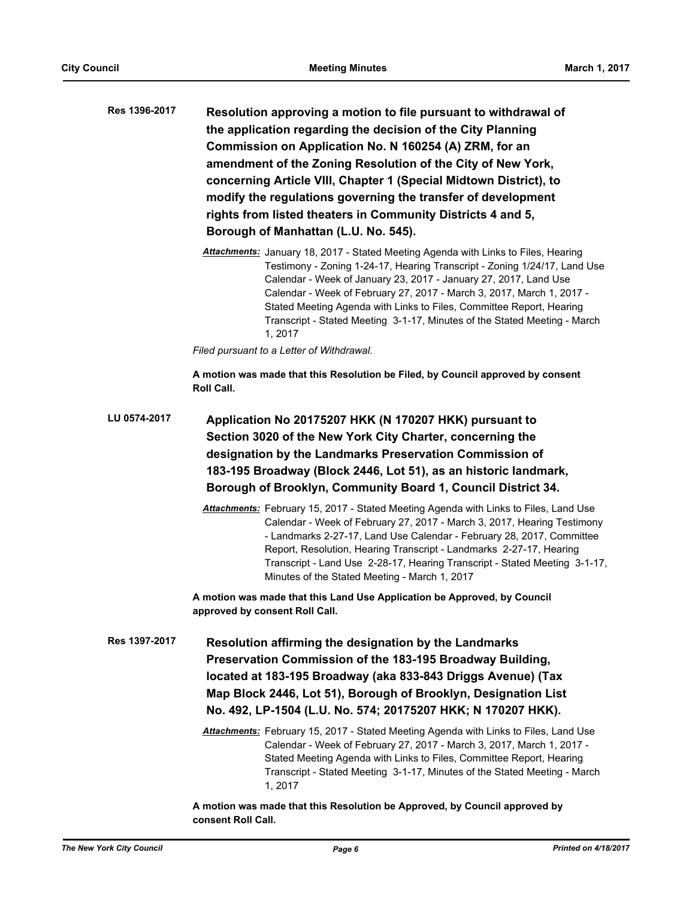**Resolution approving a motion to file pursuant to withdrawal of the application regarding the decision of the City Planning Commission on Application No. N 160254 (A) ZRM, for an amendment of the Zoning Resolution of the City of New York, concerning Article VIII, Chapter 1 (Special Midtown District), to modify the regulations governing the transfer of development rights from listed theaters in Community Districts 4 and 5, Borough of Manhattan (L.U. No. 545). Res 1396-2017**

> *Attachments:* January 18, 2017 - Stated Meeting Agenda with Links to Files, Hearing Testimony - Zoning 1-24-17, Hearing Transcript - Zoning 1/24/17, Land Use Calendar - Week of January 23, 2017 - January 27, 2017, Land Use Calendar - Week of February 27, 2017 - March 3, 2017, March 1, 2017 - Stated Meeting Agenda with Links to Files, Committee Report, Hearing Transcript - Stated Meeting 3-1-17, Minutes of the Stated Meeting - March 1, 2017

*Filed pursuant to a Letter of Withdrawal.*

**A motion was made that this Resolution be Filed, by Council approved by consent Roll Call.**

- **Application No 20175207 HKK (N 170207 HKK) pursuant to Section 3020 of the New York City Charter, concerning the designation by the Landmarks Preservation Commission of 183-195 Broadway (Block 2446, Lot 51), as an historic landmark, Borough of Brooklyn, Community Board 1, Council District 34. LU 0574-2017**
	- *Attachments:* February 15, 2017 Stated Meeting Agenda with Links to Files, Land Use Calendar - Week of February 27, 2017 - March 3, 2017, Hearing Testimony - Landmarks 2-27-17, Land Use Calendar - February 28, 2017, Committee Report, Resolution, Hearing Transcript - Landmarks 2-27-17, Hearing Transcript - Land Use 2-28-17, Hearing Transcript - Stated Meeting 3-1-17, Minutes of the Stated Meeting - March 1, 2017

**A motion was made that this Land Use Application be Approved, by Council approved by consent Roll Call.**

**Resolution affirming the designation by the Landmarks Preservation Commission of the 183-195 Broadway Building, located at 183-195 Broadway (aka 833-843 Driggs Avenue) (Tax Map Block 2446, Lot 51), Borough of Brooklyn, Designation List No. 492, LP-1504 (L.U. No. 574; 20175207 HKK; N 170207 HKK). Res 1397-2017**

> *Attachments:* February 15, 2017 - Stated Meeting Agenda with Links to Files, Land Use Calendar - Week of February 27, 2017 - March 3, 2017, March 1, 2017 - Stated Meeting Agenda with Links to Files, Committee Report, Hearing Transcript - Stated Meeting 3-1-17, Minutes of the Stated Meeting - March 1, 2017

**A motion was made that this Resolution be Approved, by Council approved by consent Roll Call.**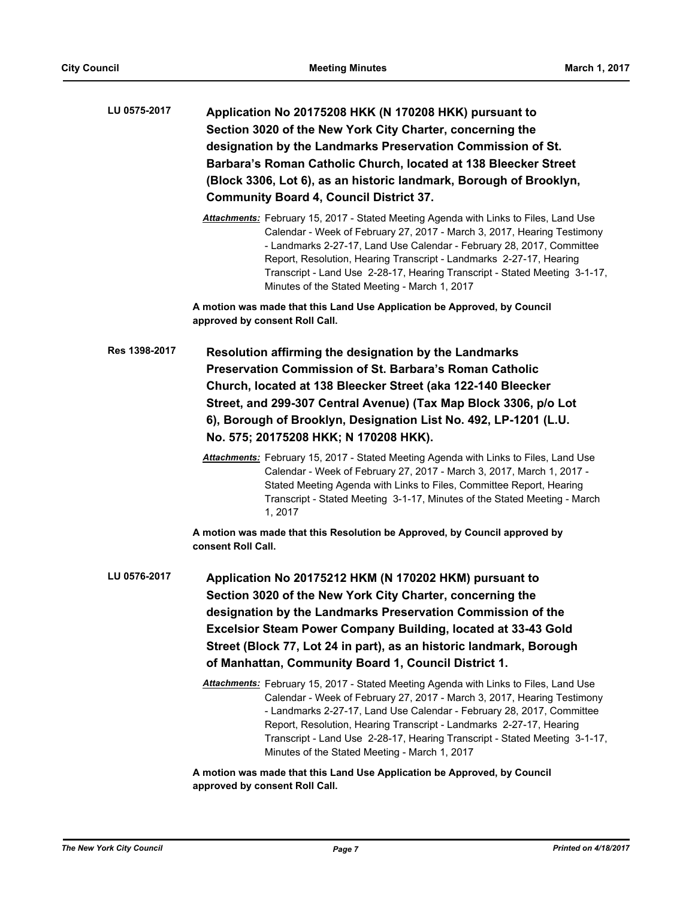| LU 0575-2017  | Application No 20175208 HKK (N 170208 HKK) pursuant to<br>Section 3020 of the New York City Charter, concerning the<br>designation by the Landmarks Preservation Commission of St.<br>Barbara's Roman Catholic Church, located at 138 Bleecker Street<br>(Block 3306, Lot 6), as an historic landmark, Borough of Brooklyn,<br><b>Community Board 4, Council District 37.</b>                                                                                                                                                                                                                                                                                                                                                                                                                                                               |  |  |
|---------------|---------------------------------------------------------------------------------------------------------------------------------------------------------------------------------------------------------------------------------------------------------------------------------------------------------------------------------------------------------------------------------------------------------------------------------------------------------------------------------------------------------------------------------------------------------------------------------------------------------------------------------------------------------------------------------------------------------------------------------------------------------------------------------------------------------------------------------------------|--|--|
|               | Attachments: February 15, 2017 - Stated Meeting Agenda with Links to Files, Land Use<br>Calendar - Week of February 27, 2017 - March 3, 2017, Hearing Testimony<br>- Landmarks 2-27-17, Land Use Calendar - February 28, 2017, Committee<br>Report, Resolution, Hearing Transcript - Landmarks 2-27-17, Hearing<br>Transcript - Land Use 2-28-17, Hearing Transcript - Stated Meeting 3-1-17,<br>Minutes of the Stated Meeting - March 1, 2017                                                                                                                                                                                                                                                                                                                                                                                              |  |  |
|               | A motion was made that this Land Use Application be Approved, by Council<br>approved by consent Roll Call.                                                                                                                                                                                                                                                                                                                                                                                                                                                                                                                                                                                                                                                                                                                                  |  |  |
| Res 1398-2017 | Resolution affirming the designation by the Landmarks<br>Preservation Commission of St. Barbara's Roman Catholic<br>Church, located at 138 Bleecker Street (aka 122-140 Bleecker<br>Street, and 299-307 Central Avenue) (Tax Map Block 3306, p/o Lot<br>6), Borough of Brooklyn, Designation List No. 492, LP-1201 (L.U.<br>No. 575; 20175208 HKK; N 170208 HKK).<br>Attachments: February 15, 2017 - Stated Meeting Agenda with Links to Files, Land Use<br>Calendar - Week of February 27, 2017 - March 3, 2017, March 1, 2017 -<br>Stated Meeting Agenda with Links to Files, Committee Report, Hearing<br>Transcript - Stated Meeting 3-1-17, Minutes of the Stated Meeting - March<br>1, 2017<br>A motion was made that this Resolution be Approved, by Council approved by<br>consent Roll Call.                                      |  |  |
| LU 0576-2017  | Application No 20175212 HKM (N 170202 HKM) pursuant to<br>Section 3020 of the New York City Charter, concerning the<br>designation by the Landmarks Preservation Commission of the<br><b>Excelsior Steam Power Company Building, located at 33-43 Gold</b><br>Street (Block 77, Lot 24 in part), as an historic landmark, Borough<br>of Manhattan, Community Board 1, Council District 1.<br>Attachments: February 15, 2017 - Stated Meeting Agenda with Links to Files, Land Use<br>Calendar - Week of February 27, 2017 - March 3, 2017, Hearing Testimony<br>- Landmarks 2-27-17, Land Use Calendar - February 28, 2017, Committee<br>Report, Resolution, Hearing Transcript - Landmarks 2-27-17, Hearing<br>Transcript - Land Use 2-28-17, Hearing Transcript - Stated Meeting 3-1-17,<br>Minutes of the Stated Meeting - March 1, 2017 |  |  |
|               | A motion was made that this Land Use Application be Approved, by Council                                                                                                                                                                                                                                                                                                                                                                                                                                                                                                                                                                                                                                                                                                                                                                    |  |  |

**approved by consent Roll Call.**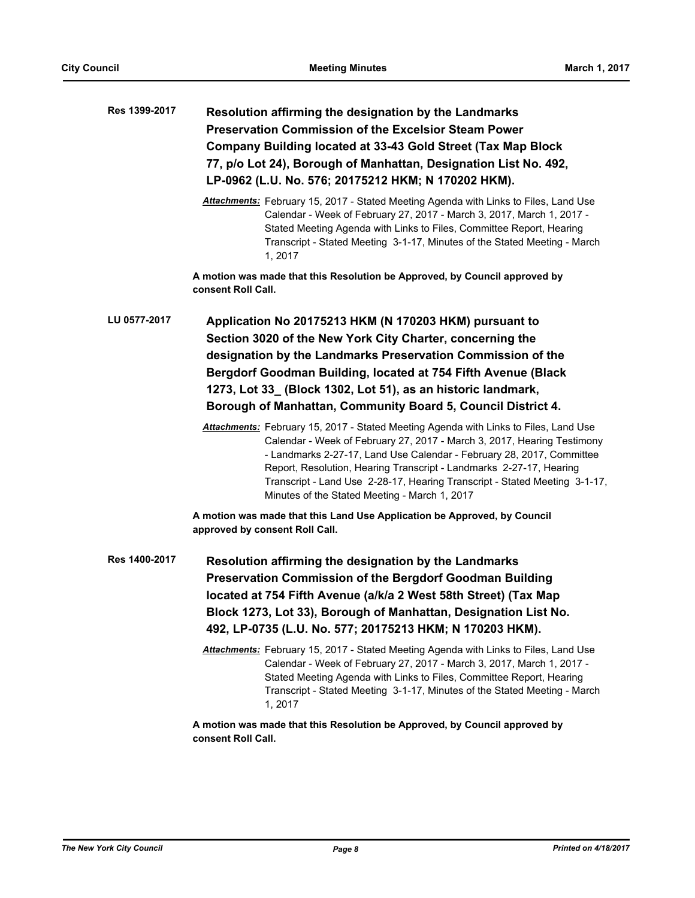| Res 1399-2017 | Resolution affirming the designation by the Landmarks<br><b>Preservation Commission of the Excelsior Steam Power</b><br><b>Company Building located at 33-43 Gold Street (Tax Map Block</b><br>77, p/o Lot 24), Borough of Manhattan, Designation List No. 492,<br>LP-0962 (L.U. No. 576; 20175212 HKM; N 170202 HKM).                                                                                                                                                                                                                                                                                                                                                                                                                                                                                                                                                                                                                              |
|---------------|-----------------------------------------------------------------------------------------------------------------------------------------------------------------------------------------------------------------------------------------------------------------------------------------------------------------------------------------------------------------------------------------------------------------------------------------------------------------------------------------------------------------------------------------------------------------------------------------------------------------------------------------------------------------------------------------------------------------------------------------------------------------------------------------------------------------------------------------------------------------------------------------------------------------------------------------------------|
|               | <b>Attachments:</b> February 15, 2017 - Stated Meeting Agenda with Links to Files, Land Use<br>Calendar - Week of February 27, 2017 - March 3, 2017, March 1, 2017 -<br>Stated Meeting Agenda with Links to Files, Committee Report, Hearing<br>Transcript - Stated Meeting 3-1-17, Minutes of the Stated Meeting - March<br>1, 2017                                                                                                                                                                                                                                                                                                                                                                                                                                                                                                                                                                                                                |
|               | A motion was made that this Resolution be Approved, by Council approved by<br>consent Roll Call.                                                                                                                                                                                                                                                                                                                                                                                                                                                                                                                                                                                                                                                                                                                                                                                                                                                    |
| LU 0577-2017  | Application No 20175213 HKM (N 170203 HKM) pursuant to<br>Section 3020 of the New York City Charter, concerning the<br>designation by the Landmarks Preservation Commission of the<br>Bergdorf Goodman Building, located at 754 Fifth Avenue (Black<br>1273, Lot 33_ (Block 1302, Lot 51), as an historic landmark,<br>Borough of Manhattan, Community Board 5, Council District 4.<br>Attachments: February 15, 2017 - Stated Meeting Agenda with Links to Files, Land Use<br>Calendar - Week of February 27, 2017 - March 3, 2017, Hearing Testimony<br>- Landmarks 2-27-17, Land Use Calendar - February 28, 2017, Committee<br>Report, Resolution, Hearing Transcript - Landmarks 2-27-17, Hearing<br>Transcript - Land Use 2-28-17, Hearing Transcript - Stated Meeting 3-1-17,<br>Minutes of the Stated Meeting - March 1, 2017<br>A motion was made that this Land Use Application be Approved, by Council<br>approved by consent Roll Call. |
| Res 1400-2017 | Resolution affirming the designation by the Landmarks<br>Preservation Commission of the Bergdorf Goodman Building<br>located at 754 Fifth Avenue (a/k/a 2 West 58th Street) (Tax Map<br>Block 1273, Lot 33), Borough of Manhattan, Designation List No.<br>492, LP-0735 (L.U. No. 577; 20175213 HKM; N 170203 HKM).<br><b>Attachments:</b> February 15, 2017 - Stated Meeting Agenda with Links to Files, Land Use<br>Calendar - Week of February 27, 2017 - March 3, 2017, March 1, 2017 -<br>Stated Meeting Agenda with Links to Files, Committee Report, Hearing<br>Transcript - Stated Meeting 3-1-17, Minutes of the Stated Meeting - March<br>1, 2017                                                                                                                                                                                                                                                                                         |

**A motion was made that this Resolution be Approved, by Council approved by consent Roll Call.**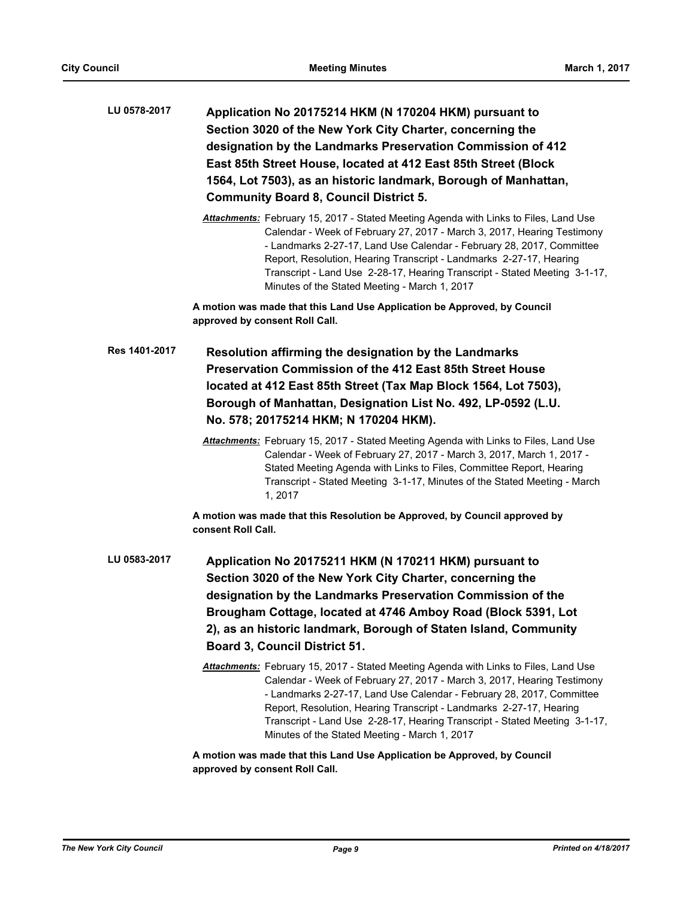| LU 0578-2017  | Application No 20175214 HKM (N 170204 HKM) pursuant to<br>Section 3020 of the New York City Charter, concerning the<br>designation by the Landmarks Preservation Commission of 412<br>East 85th Street House, located at 412 East 85th Street (Block<br>1564, Lot 7503), as an historic landmark, Borough of Manhattan,<br><b>Community Board 8, Council District 5.</b>                                                                       |
|---------------|------------------------------------------------------------------------------------------------------------------------------------------------------------------------------------------------------------------------------------------------------------------------------------------------------------------------------------------------------------------------------------------------------------------------------------------------|
|               | Attachments: February 15, 2017 - Stated Meeting Agenda with Links to Files, Land Use<br>Calendar - Week of February 27, 2017 - March 3, 2017, Hearing Testimony<br>- Landmarks 2-27-17, Land Use Calendar - February 28, 2017, Committee<br>Report, Resolution, Hearing Transcript - Landmarks 2-27-17, Hearing<br>Transcript - Land Use 2-28-17, Hearing Transcript - Stated Meeting 3-1-17,<br>Minutes of the Stated Meeting - March 1, 2017 |
|               | A motion was made that this Land Use Application be Approved, by Council<br>approved by consent Roll Call.                                                                                                                                                                                                                                                                                                                                     |
| Res 1401-2017 | Resolution affirming the designation by the Landmarks<br>Preservation Commission of the 412 East 85th Street House<br>located at 412 East 85th Street (Tax Map Block 1564, Lot 7503),<br>Borough of Manhattan, Designation List No. 492, LP-0592 (L.U.<br>No. 578; 20175214 HKM; N 170204 HKM).                                                                                                                                                |
|               | Attachments: February 15, 2017 - Stated Meeting Agenda with Links to Files, Land Use<br>Calendar - Week of February 27, 2017 - March 3, 2017, March 1, 2017 -<br>Stated Meeting Agenda with Links to Files, Committee Report, Hearing<br>Transcript - Stated Meeting 3-1-17, Minutes of the Stated Meeting - March<br>1, 2017                                                                                                                  |
|               | A motion was made that this Resolution be Approved, by Council approved by<br>consent Roll Call.                                                                                                                                                                                                                                                                                                                                               |
| LU 0583-2017  | Application No 20175211 HKM (N 170211 HKM) pursuant to<br>Section 3020 of the New York City Charter, concerning the<br>designation by the Landmarks Preservation Commission of the<br>Brougham Cottage, located at 4746 Amboy Road (Block 5391, Lot<br>2), as an historic landmark, Borough of Staten Island, Community<br><b>Board 3, Council District 51.</b>                                                                                |
|               | Attachments: February 15, 2017 - Stated Meeting Agenda with Links to Files, Land Use<br>Calendar - Week of February 27, 2017 - March 3, 2017, Hearing Testimony<br>- Landmarks 2-27-17, Land Use Calendar - February 28, 2017, Committee<br>Report, Resolution, Hearing Transcript - Landmarks 2-27-17, Hearing<br>Transcript - Land Use 2-28-17, Hearing Transcript - Stated Meeting 3-1-17,<br>Minutes of the Stated Meeting - March 1, 2017 |
|               | mede that this Land Hee Annlication he Annuaued by Council                                                                                                                                                                                                                                                                                                                                                                                     |

**A motion was made that this Land Use Application be Approved, by Council approved by consent Roll Call.**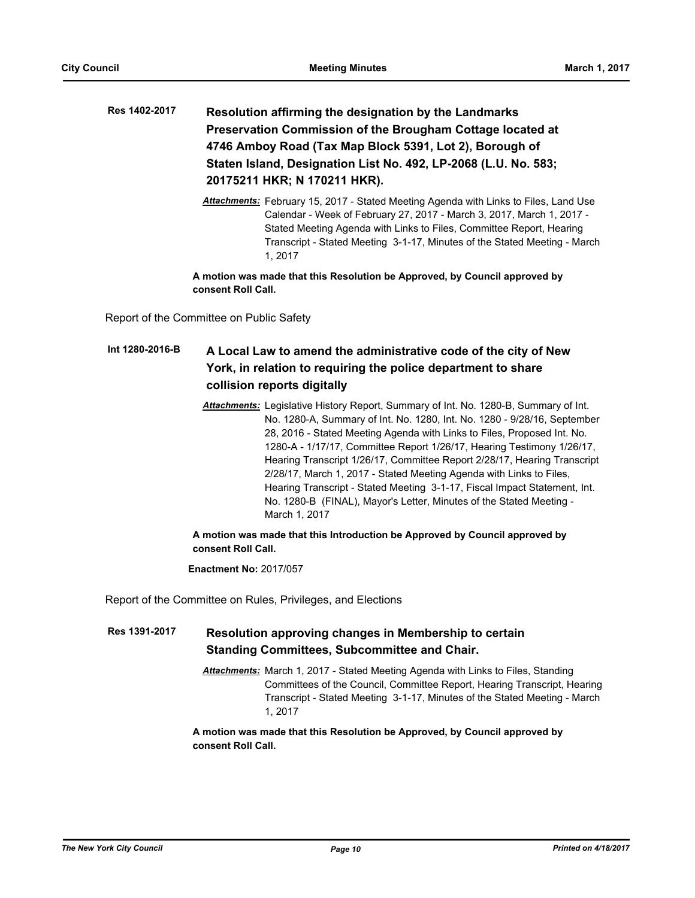- **Resolution affirming the designation by the Landmarks Preservation Commission of the Brougham Cottage located at 4746 Amboy Road (Tax Map Block 5391, Lot 2), Borough of Staten Island, Designation List No. 492, LP-2068 (L.U. No. 583; 20175211 HKR; N 170211 HKR). Res 1402-2017**
	- *Attachments:* February 15, 2017 Stated Meeting Agenda with Links to Files, Land Use Calendar - Week of February 27, 2017 - March 3, 2017, March 1, 2017 - Stated Meeting Agenda with Links to Files, Committee Report, Hearing Transcript - Stated Meeting 3-1-17, Minutes of the Stated Meeting - March 1, 2017

**A motion was made that this Resolution be Approved, by Council approved by consent Roll Call.**

Report of the Committee on Public Safety

## **A Local Law to amend the administrative code of the city of New York, in relation to requiring the police department to share collision reports digitally Int 1280-2016-B**

*Attachments:* Legislative History Report, Summary of Int. No. 1280-B, Summary of Int. No. 1280-A, Summary of Int. No. 1280, Int. No. 1280 - 9/28/16, September 28, 2016 - Stated Meeting Agenda with Links to Files, Proposed Int. No. 1280-A - 1/17/17, Committee Report 1/26/17, Hearing Testimony 1/26/17, Hearing Transcript 1/26/17, Committee Report 2/28/17, Hearing Transcript 2/28/17, March 1, 2017 - Stated Meeting Agenda with Links to Files, Hearing Transcript - Stated Meeting 3-1-17, Fiscal Impact Statement, Int. No. 1280-B (FINAL), Mayor's Letter, Minutes of the Stated Meeting - March 1, 2017

# **A motion was made that this Introduction be Approved by Council approved by consent Roll Call.**

**Enactment No:** 2017/057

Report of the Committee on Rules, Privileges, and Elections

#### **Resolution approving changes in Membership to certain Standing Committees, Subcommittee and Chair. Res 1391-2017**

*Attachments:* March 1, 2017 - Stated Meeting Agenda with Links to Files, Standing Committees of the Council, Committee Report, Hearing Transcript, Hearing Transcript - Stated Meeting 3-1-17, Minutes of the Stated Meeting - March 1, 2017

**A motion was made that this Resolution be Approved, by Council approved by consent Roll Call.**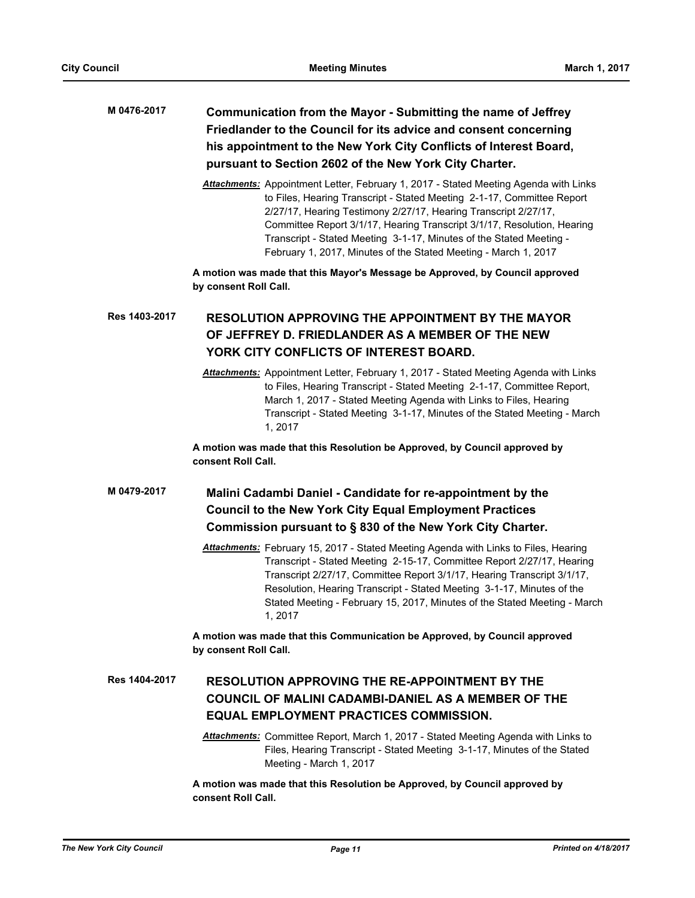# **Communication from the Mayor - Submitting the name of Jeffrey Friedlander to the Council for its advice and consent concerning his appointment to the New York City Conflicts of Interest Board, pursuant to Section 2602 of the New York City Charter. M 0476-2017**

*Attachments:* Appointment Letter, February 1, 2017 - Stated Meeting Agenda with Links to Files, Hearing Transcript - Stated Meeting 2-1-17, Committee Report 2/27/17, Hearing Testimony 2/27/17, Hearing Transcript 2/27/17, Committee Report 3/1/17, Hearing Transcript 3/1/17, Resolution, Hearing Transcript - Stated Meeting 3-1-17, Minutes of the Stated Meeting - February 1, 2017, Minutes of the Stated Meeting - March 1, 2017

**A motion was made that this Mayor's Message be Approved, by Council approved by consent Roll Call.**

## **RESOLUTION APPROVING THE APPOINTMENT BY THE MAYOR OF JEFFREY D. FRIEDLANDER AS A MEMBER OF THE NEW YORK CITY CONFLICTS OF INTEREST BOARD. Res 1403-2017**

*Attachments:* Appointment Letter, February 1, 2017 - Stated Meeting Agenda with Links to Files, Hearing Transcript - Stated Meeting 2-1-17, Committee Report, March 1, 2017 - Stated Meeting Agenda with Links to Files, Hearing Transcript - Stated Meeting 3-1-17, Minutes of the Stated Meeting - March 1, 2017

**A motion was made that this Resolution be Approved, by Council approved by consent Roll Call.**

#### **Malini Cadambi Daniel - Candidate for re-appointment by the Council to the New York City Equal Employment Practices Commission pursuant to § 830 of the New York City Charter. M 0479-2017**

*Attachments:* February 15, 2017 - Stated Meeting Agenda with Links to Files, Hearing Transcript - Stated Meeting 2-15-17, Committee Report 2/27/17, Hearing Transcript 2/27/17, Committee Report 3/1/17, Hearing Transcript 3/1/17, Resolution, Hearing Transcript - Stated Meeting 3-1-17, Minutes of the Stated Meeting - February 15, 2017, Minutes of the Stated Meeting - March 1, 2017

**A motion was made that this Communication be Approved, by Council approved by consent Roll Call.**

### **RESOLUTION APPROVING THE RE-APPOINTMENT BY THE COUNCIL OF MALINI CADAMBI-DANIEL AS A MEMBER OF THE EQUAL EMPLOYMENT PRACTICES COMMISSION. Res 1404-2017**

*Attachments:* Committee Report, March 1, 2017 - Stated Meeting Agenda with Links to Files, Hearing Transcript - Stated Meeting 3-1-17, Minutes of the Stated Meeting - March 1, 2017

**A motion was made that this Resolution be Approved, by Council approved by consent Roll Call.**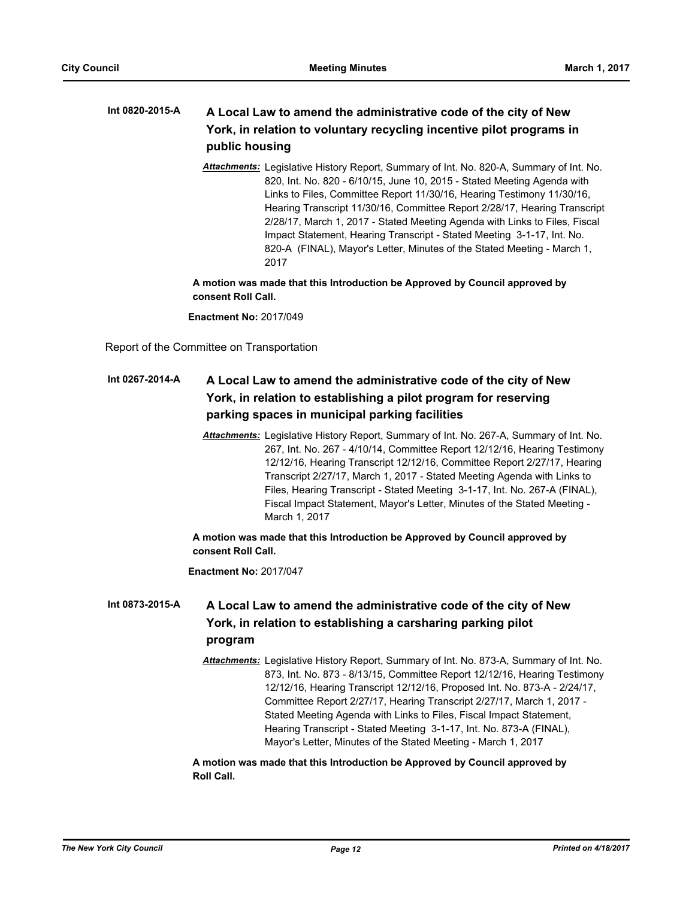#### **A Local Law to amend the administrative code of the city of New York, in relation to voluntary recycling incentive pilot programs in public housing Int 0820-2015-A**

*Attachments:* Legislative History Report, Summary of Int. No. 820-A, Summary of Int. No. 820, Int. No. 820 - 6/10/15, June 10, 2015 - Stated Meeting Agenda with Links to Files, Committee Report 11/30/16, Hearing Testimony 11/30/16, Hearing Transcript 11/30/16, Committee Report 2/28/17, Hearing Transcript 2/28/17, March 1, 2017 - Stated Meeting Agenda with Links to Files, Fiscal Impact Statement, Hearing Transcript - Stated Meeting 3-1-17, Int. No. 820-A (FINAL), Mayor's Letter, Minutes of the Stated Meeting - March 1, 2017

**A motion was made that this Introduction be Approved by Council approved by consent Roll Call.**

**Enactment No:** 2017/049

Report of the Committee on Transportation

#### **A Local Law to amend the administrative code of the city of New York, in relation to establishing a pilot program for reserving parking spaces in municipal parking facilities Int 0267-2014-A**

*Attachments:* Legislative History Report, Summary of Int. No. 267-A, Summary of Int. No. 267, Int. No. 267 - 4/10/14, Committee Report 12/12/16, Hearing Testimony 12/12/16, Hearing Transcript 12/12/16, Committee Report 2/27/17, Hearing Transcript 2/27/17, March 1, 2017 - Stated Meeting Agenda with Links to Files, Hearing Transcript - Stated Meeting 3-1-17, Int. No. 267-A (FINAL), Fiscal Impact Statement, Mayor's Letter, Minutes of the Stated Meeting - March 1, 2017

**A motion was made that this Introduction be Approved by Council approved by consent Roll Call.**

**Enactment No:** 2017/047

## **A Local Law to amend the administrative code of the city of New York, in relation to establishing a carsharing parking pilot program Int 0873-2015-A**

*Attachments:* Legislative History Report, Summary of Int. No. 873-A, Summary of Int. No. 873, Int. No. 873 - 8/13/15, Committee Report 12/12/16, Hearing Testimony 12/12/16, Hearing Transcript 12/12/16, Proposed Int. No. 873-A - 2/24/17, Committee Report 2/27/17, Hearing Transcript 2/27/17, March 1, 2017 - Stated Meeting Agenda with Links to Files, Fiscal Impact Statement, Hearing Transcript - Stated Meeting 3-1-17, Int. No. 873-A (FINAL), Mayor's Letter, Minutes of the Stated Meeting - March 1, 2017

**A motion was made that this Introduction be Approved by Council approved by Roll Call.**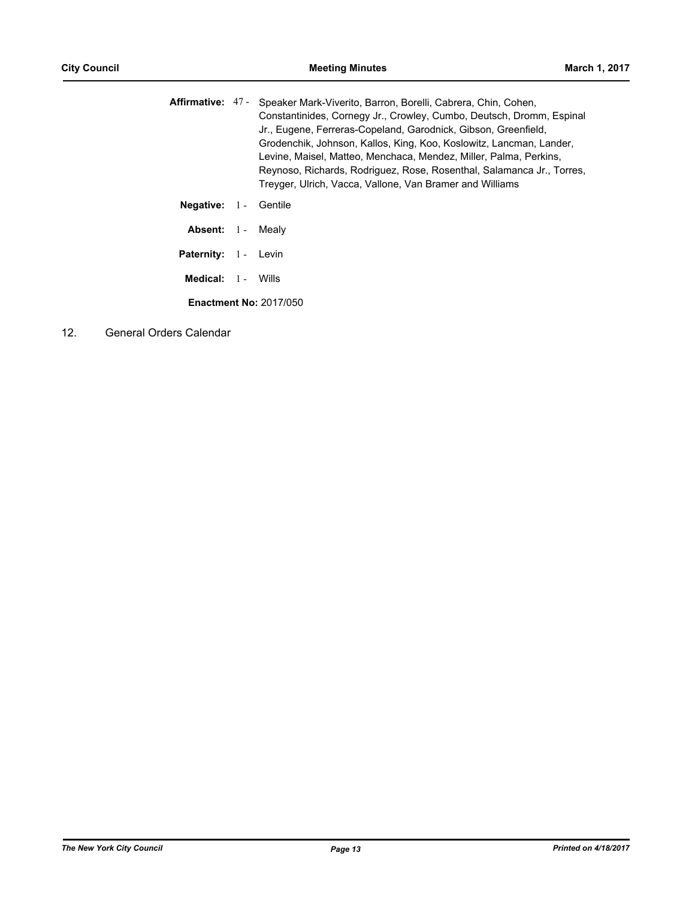| <b>Affirmative: 47 -</b>     |       | Speaker Mark-Viverito, Barron, Borelli, Cabrera, Chin, Cohen,         |
|------------------------------|-------|-----------------------------------------------------------------------|
|                              |       | Constantinides, Cornegy Jr., Crowley, Cumbo, Deutsch, Dromm, Espinal  |
|                              |       | Jr., Eugene, Ferreras-Copeland, Garodnick, Gibson, Greenfield,        |
|                              |       | Grodenchik, Johnson, Kallos, King, Koo, Koslowitz, Lancman, Lander,   |
|                              |       | Levine, Maisel, Matteo, Menchaca, Mendez, Miller, Palma, Perkins,     |
|                              |       | Reynoso, Richards, Rodriguez, Rose, Rosenthal, Salamanca Jr., Torres, |
|                              |       | Treyger, Ulrich, Vacca, Vallone, Van Bramer and Williams              |
|                              |       |                                                                       |
| <b>Negative:</b> 1 - Gentile |       |                                                                       |
| Absent: $1 -$                |       | Mealy                                                                 |
|                              |       |                                                                       |
| <b>Paternity:</b> $1 -$      |       | Levin                                                                 |
|                              |       |                                                                       |
| Medical:                     | $1 -$ | Wills                                                                 |
|                              |       |                                                                       |

**Enactment No:** 2017/050

12. General Orders Calendar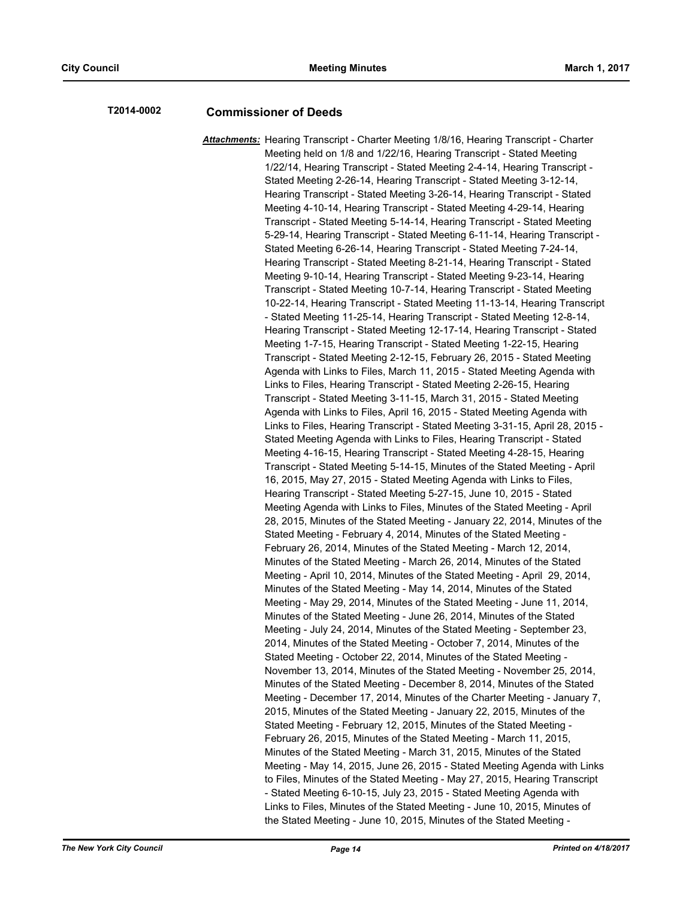# **T2014-0002 Commissioner of Deeds**

*Attachments:* Hearing Transcript - Charter Meeting 1/8/16, Hearing Transcript - Charter Meeting held on 1/8 and 1/22/16, Hearing Transcript - Stated Meeting 1/22/14, Hearing Transcript - Stated Meeting 2-4-14, Hearing Transcript - Stated Meeting 2-26-14, Hearing Transcript - Stated Meeting 3-12-14, Hearing Transcript - Stated Meeting 3-26-14, Hearing Transcript - Stated Meeting 4-10-14, Hearing Transcript - Stated Meeting 4-29-14, Hearing Transcript - Stated Meeting 5-14-14, Hearing Transcript - Stated Meeting 5-29-14, Hearing Transcript - Stated Meeting 6-11-14, Hearing Transcript - Stated Meeting 6-26-14, Hearing Transcript - Stated Meeting 7-24-14, Hearing Transcript - Stated Meeting 8-21-14, Hearing Transcript - Stated Meeting 9-10-14, Hearing Transcript - Stated Meeting 9-23-14, Hearing Transcript - Stated Meeting 10-7-14, Hearing Transcript - Stated Meeting 10-22-14, Hearing Transcript - Stated Meeting 11-13-14, Hearing Transcript - Stated Meeting 11-25-14, Hearing Transcript - Stated Meeting 12-8-14, Hearing Transcript - Stated Meeting 12-17-14, Hearing Transcript - Stated Meeting 1-7-15, Hearing Transcript - Stated Meeting 1-22-15, Hearing Transcript - Stated Meeting 2-12-15, February 26, 2015 - Stated Meeting Agenda with Links to Files, March 11, 2015 - Stated Meeting Agenda with Links to Files, Hearing Transcript - Stated Meeting 2-26-15, Hearing Transcript - Stated Meeting 3-11-15, March 31, 2015 - Stated Meeting Agenda with Links to Files, April 16, 2015 - Stated Meeting Agenda with Links to Files, Hearing Transcript - Stated Meeting 3-31-15, April 28, 2015 - Stated Meeting Agenda with Links to Files, Hearing Transcript - Stated Meeting 4-16-15, Hearing Transcript - Stated Meeting 4-28-15, Hearing Transcript - Stated Meeting 5-14-15, Minutes of the Stated Meeting - April 16, 2015, May 27, 2015 - Stated Meeting Agenda with Links to Files, Hearing Transcript - Stated Meeting 5-27-15, June 10, 2015 - Stated Meeting Agenda with Links to Files, Minutes of the Stated Meeting - April 28, 2015, Minutes of the Stated Meeting - January 22, 2014, Minutes of the Stated Meeting - February 4, 2014, Minutes of the Stated Meeting - February 26, 2014, Minutes of the Stated Meeting - March 12, 2014, Minutes of the Stated Meeting - March 26, 2014, Minutes of the Stated Meeting - April 10, 2014, Minutes of the Stated Meeting - April 29, 2014, Minutes of the Stated Meeting - May 14, 2014, Minutes of the Stated Meeting - May 29, 2014, Minutes of the Stated Meeting - June 11, 2014, Minutes of the Stated Meeting - June 26, 2014, Minutes of the Stated Meeting - July 24, 2014, Minutes of the Stated Meeting - September 23, 2014, Minutes of the Stated Meeting - October 7, 2014, Minutes of the Stated Meeting - October 22, 2014, Minutes of the Stated Meeting - November 13, 2014, Minutes of the Stated Meeting - November 25, 2014, Minutes of the Stated Meeting - December 8, 2014, Minutes of the Stated Meeting - December 17, 2014, Minutes of the Charter Meeting - January 7, 2015, Minutes of the Stated Meeting - January 22, 2015, Minutes of the Stated Meeting - February 12, 2015, Minutes of the Stated Meeting - February 26, 2015, Minutes of the Stated Meeting - March 11, 2015, Minutes of the Stated Meeting - March 31, 2015, Minutes of the Stated Meeting - May 14, 2015, June 26, 2015 - Stated Meeting Agenda with Links to Files, Minutes of the Stated Meeting - May 27, 2015, Hearing Transcript - Stated Meeting 6-10-15, July 23, 2015 - Stated Meeting Agenda with Links to Files, Minutes of the Stated Meeting - June 10, 2015, Minutes of the Stated Meeting - June 10, 2015, Minutes of the Stated Meeting -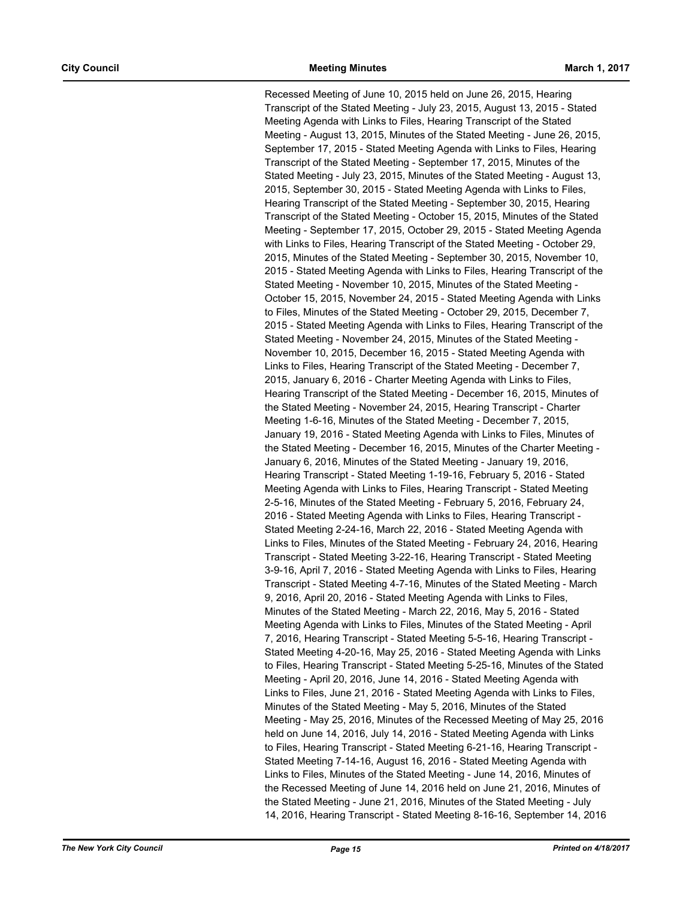Recessed Meeting of June 10, 2015 held on June 26, 2015, Hearing Transcript of the Stated Meeting - July 23, 2015, August 13, 2015 - Stated Meeting Agenda with Links to Files, Hearing Transcript of the Stated Meeting - August 13, 2015, Minutes of the Stated Meeting - June 26, 2015, September 17, 2015 - Stated Meeting Agenda with Links to Files, Hearing Transcript of the Stated Meeting - September 17, 2015, Minutes of the Stated Meeting - July 23, 2015, Minutes of the Stated Meeting - August 13, 2015, September 30, 2015 - Stated Meeting Agenda with Links to Files, Hearing Transcript of the Stated Meeting - September 30, 2015, Hearing Transcript of the Stated Meeting - October 15, 2015, Minutes of the Stated Meeting - September 17, 2015, October 29, 2015 - Stated Meeting Agenda with Links to Files, Hearing Transcript of the Stated Meeting - October 29, 2015, Minutes of the Stated Meeting - September 30, 2015, November 10, 2015 - Stated Meeting Agenda with Links to Files, Hearing Transcript of the Stated Meeting - November 10, 2015, Minutes of the Stated Meeting - October 15, 2015, November 24, 2015 - Stated Meeting Agenda with Links to Files, Minutes of the Stated Meeting - October 29, 2015, December 7, 2015 - Stated Meeting Agenda with Links to Files, Hearing Transcript of the Stated Meeting - November 24, 2015, Minutes of the Stated Meeting - November 10, 2015, December 16, 2015 - Stated Meeting Agenda with Links to Files, Hearing Transcript of the Stated Meeting - December 7, 2015, January 6, 2016 - Charter Meeting Agenda with Links to Files, Hearing Transcript of the Stated Meeting - December 16, 2015, Minutes of the Stated Meeting - November 24, 2015, Hearing Transcript - Charter Meeting 1-6-16, Minutes of the Stated Meeting - December 7, 2015, January 19, 2016 - Stated Meeting Agenda with Links to Files, Minutes of the Stated Meeting - December 16, 2015, Minutes of the Charter Meeting - January 6, 2016, Minutes of the Stated Meeting - January 19, 2016, Hearing Transcript - Stated Meeting 1-19-16, February 5, 2016 - Stated Meeting Agenda with Links to Files, Hearing Transcript - Stated Meeting 2-5-16, Minutes of the Stated Meeting - February 5, 2016, February 24, 2016 - Stated Meeting Agenda with Links to Files, Hearing Transcript - Stated Meeting 2-24-16, March 22, 2016 - Stated Meeting Agenda with Links to Files, Minutes of the Stated Meeting - February 24, 2016, Hearing Transcript - Stated Meeting 3-22-16, Hearing Transcript - Stated Meeting 3-9-16, April 7, 2016 - Stated Meeting Agenda with Links to Files, Hearing Transcript - Stated Meeting 4-7-16, Minutes of the Stated Meeting - March 9, 2016, April 20, 2016 - Stated Meeting Agenda with Links to Files, Minutes of the Stated Meeting - March 22, 2016, May 5, 2016 - Stated Meeting Agenda with Links to Files, Minutes of the Stated Meeting - April 7, 2016, Hearing Transcript - Stated Meeting 5-5-16, Hearing Transcript - Stated Meeting 4-20-16, May 25, 2016 - Stated Meeting Agenda with Links to Files, Hearing Transcript - Stated Meeting 5-25-16, Minutes of the Stated Meeting - April 20, 2016, June 14, 2016 - Stated Meeting Agenda with Links to Files, June 21, 2016 - Stated Meeting Agenda with Links to Files, Minutes of the Stated Meeting - May 5, 2016, Minutes of the Stated Meeting - May 25, 2016, Minutes of the Recessed Meeting of May 25, 2016 held on June 14, 2016, July 14, 2016 - Stated Meeting Agenda with Links to Files, Hearing Transcript - Stated Meeting 6-21-16, Hearing Transcript - Stated Meeting 7-14-16, August 16, 2016 - Stated Meeting Agenda with Links to Files, Minutes of the Stated Meeting - June 14, 2016, Minutes of the Recessed Meeting of June 14, 2016 held on June 21, 2016, Minutes of the Stated Meeting - June 21, 2016, Minutes of the Stated Meeting - July 14, 2016, Hearing Transcript - Stated Meeting 8-16-16, September 14, 2016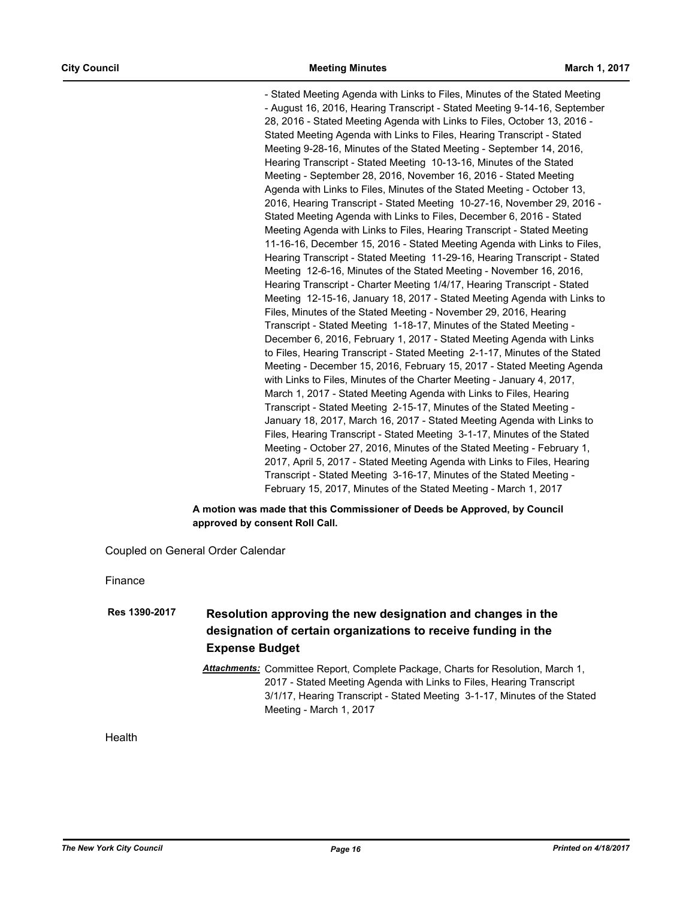- Stated Meeting Agenda with Links to Files, Minutes of the Stated Meeting - August 16, 2016, Hearing Transcript - Stated Meeting 9-14-16, September 28, 2016 - Stated Meeting Agenda with Links to Files, October 13, 2016 - Stated Meeting Agenda with Links to Files, Hearing Transcript - Stated Meeting 9-28-16, Minutes of the Stated Meeting - September 14, 2016, Hearing Transcript - Stated Meeting 10-13-16, Minutes of the Stated Meeting - September 28, 2016, November 16, 2016 - Stated Meeting Agenda with Links to Files, Minutes of the Stated Meeting - October 13, 2016, Hearing Transcript - Stated Meeting 10-27-16, November 29, 2016 - Stated Meeting Agenda with Links to Files, December 6, 2016 - Stated Meeting Agenda with Links to Files, Hearing Transcript - Stated Meeting 11-16-16, December 15, 2016 - Stated Meeting Agenda with Links to Files, Hearing Transcript - Stated Meeting 11-29-16, Hearing Transcript - Stated Meeting 12-6-16, Minutes of the Stated Meeting - November 16, 2016, Hearing Transcript - Charter Meeting 1/4/17, Hearing Transcript - Stated Meeting 12-15-16, January 18, 2017 - Stated Meeting Agenda with Links to Files, Minutes of the Stated Meeting - November 29, 2016, Hearing Transcript - Stated Meeting 1-18-17, Minutes of the Stated Meeting - December 6, 2016, February 1, 2017 - Stated Meeting Agenda with Links to Files, Hearing Transcript - Stated Meeting 2-1-17, Minutes of the Stated Meeting - December 15, 2016, February 15, 2017 - Stated Meeting Agenda with Links to Files, Minutes of the Charter Meeting - January 4, 2017, March 1, 2017 - Stated Meeting Agenda with Links to Files, Hearing Transcript - Stated Meeting 2-15-17, Minutes of the Stated Meeting - January 18, 2017, March 16, 2017 - Stated Meeting Agenda with Links to Files, Hearing Transcript - Stated Meeting 3-1-17, Minutes of the Stated Meeting - October 27, 2016, Minutes of the Stated Meeting - February 1, 2017, April 5, 2017 - Stated Meeting Agenda with Links to Files, Hearing Transcript - Stated Meeting 3-16-17, Minutes of the Stated Meeting - February 15, 2017, Minutes of the Stated Meeting - March 1, 2017

## **A motion was made that this Commissioner of Deeds be Approved, by Council approved by consent Roll Call.**

Coupled on General Order Calendar

Finance

## **Resolution approving the new designation and changes in the designation of certain organizations to receive funding in the Expense Budget Res 1390-2017**

*Attachments:* Committee Report, Complete Package, Charts for Resolution, March 1, 2017 - Stated Meeting Agenda with Links to Files, Hearing Transcript 3/1/17, Hearing Transcript - Stated Meeting 3-1-17, Minutes of the Stated Meeting - March 1, 2017

Health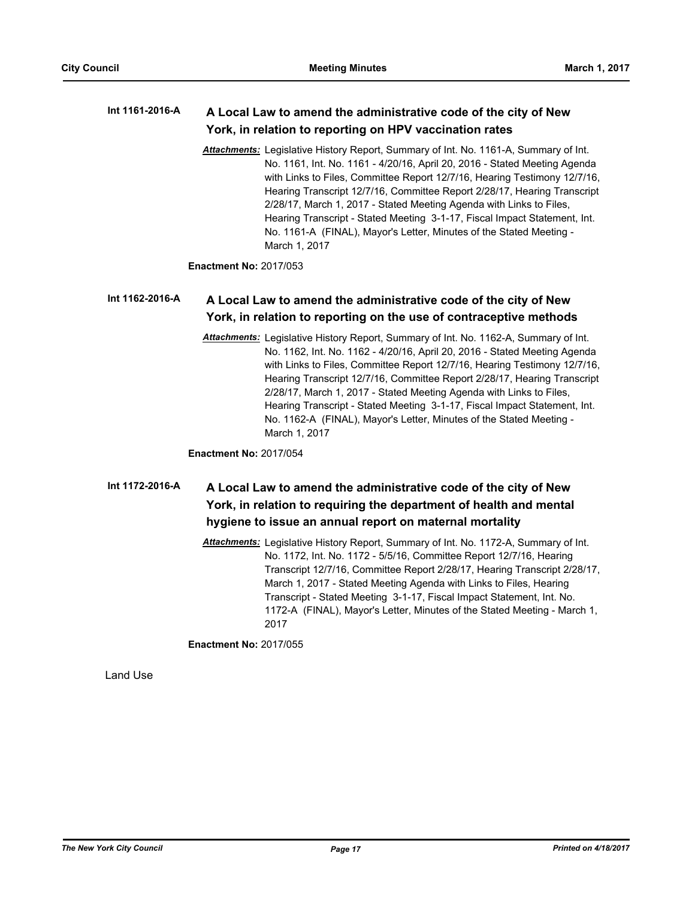#### **A Local Law to amend the administrative code of the city of New York, in relation to reporting on HPV vaccination rates Int 1161-2016-A**

*Attachments:* Legislative History Report, Summary of Int. No. 1161-A, Summary of Int. No. 1161, Int. No. 1161 - 4/20/16, April 20, 2016 - Stated Meeting Agenda with Links to Files, Committee Report 12/7/16, Hearing Testimony 12/7/16, Hearing Transcript 12/7/16, Committee Report 2/28/17, Hearing Transcript 2/28/17, March 1, 2017 - Stated Meeting Agenda with Links to Files, Hearing Transcript - Stated Meeting 3-1-17, Fiscal Impact Statement, Int. No. 1161-A (FINAL), Mayor's Letter, Minutes of the Stated Meeting - March 1, 2017

**Enactment No:** 2017/053

#### **A Local Law to amend the administrative code of the city of New York, in relation to reporting on the use of contraceptive methods Int 1162-2016-A**

*Attachments:* Legislative History Report, Summary of Int. No. 1162-A, Summary of Int. No. 1162, Int. No. 1162 - 4/20/16, April 20, 2016 - Stated Meeting Agenda with Links to Files, Committee Report 12/7/16, Hearing Testimony 12/7/16, Hearing Transcript 12/7/16, Committee Report 2/28/17, Hearing Transcript 2/28/17, March 1, 2017 - Stated Meeting Agenda with Links to Files, Hearing Transcript - Stated Meeting 3-1-17, Fiscal Impact Statement, Int. No. 1162-A (FINAL), Mayor's Letter, Minutes of the Stated Meeting - March 1, 2017

**Enactment No:** 2017/054

#### **A Local Law to amend the administrative code of the city of New York, in relation to requiring the department of health and mental hygiene to issue an annual report on maternal mortality Int 1172-2016-A**

*Attachments:* Legislative History Report, Summary of Int. No. 1172-A, Summary of Int. No. 1172, Int. No. 1172 - 5/5/16, Committee Report 12/7/16, Hearing Transcript 12/7/16, Committee Report 2/28/17, Hearing Transcript 2/28/17, March 1, 2017 - Stated Meeting Agenda with Links to Files, Hearing Transcript - Stated Meeting 3-1-17, Fiscal Impact Statement, Int. No. 1172-A (FINAL), Mayor's Letter, Minutes of the Stated Meeting - March 1, 2017

**Enactment No:** 2017/055

Land Use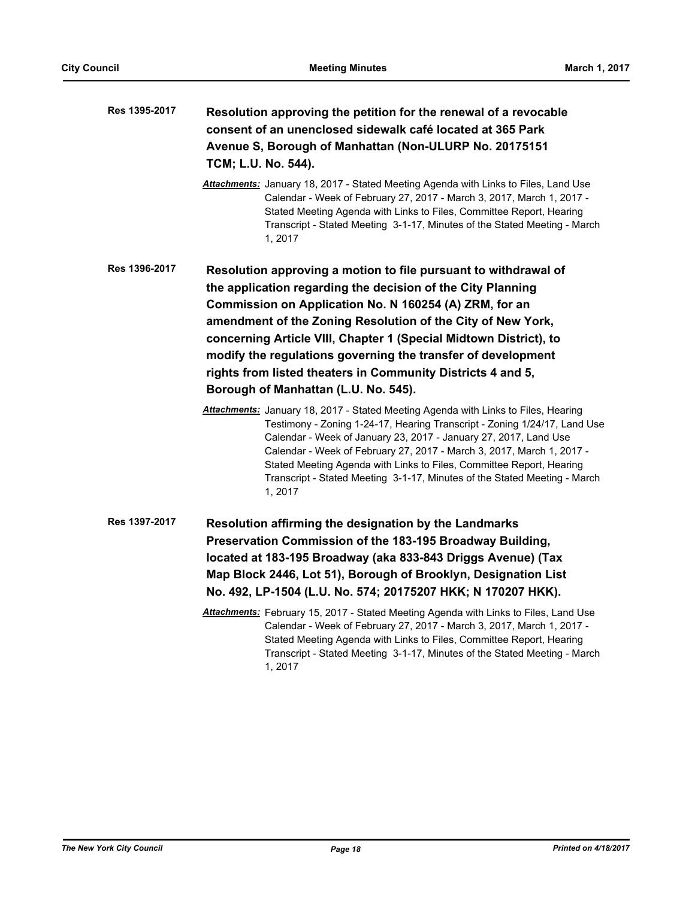| Res 1395-2017 | Resolution approving the petition for the renewal of a revocable<br>consent of an unenclosed sidewalk café located at 365 Park<br>Avenue S, Borough of Manhattan (Non-ULURP No. 20175151<br>TCM; L.U. No. 544).                                                                                                                                                                                                                                                                                     |
|---------------|-----------------------------------------------------------------------------------------------------------------------------------------------------------------------------------------------------------------------------------------------------------------------------------------------------------------------------------------------------------------------------------------------------------------------------------------------------------------------------------------------------|
|               | Attachments: January 18, 2017 - Stated Meeting Agenda with Links to Files, Land Use<br>Calendar - Week of February 27, 2017 - March 3, 2017, March 1, 2017 -<br>Stated Meeting Agenda with Links to Files, Committee Report, Hearing<br>Transcript - Stated Meeting 3-1-17, Minutes of the Stated Meeting - March<br>1, 2017                                                                                                                                                                        |
| Res 1396-2017 | Resolution approving a motion to file pursuant to withdrawal of<br>the application regarding the decision of the City Planning<br>Commission on Application No. N 160254 (A) ZRM, for an<br>amendment of the Zoning Resolution of the City of New York,<br>concerning Article VIII, Chapter 1 (Special Midtown District), to<br>modify the regulations governing the transfer of development<br>rights from listed theaters in Community Districts 4 and 5,<br>Borough of Manhattan (L.U. No. 545). |
|               | Attachments: January 18, 2017 - Stated Meeting Agenda with Links to Files, Hearing<br>Testimony - Zoning 1-24-17, Hearing Transcript - Zoning 1/24/17, Land Use<br>Calendar - Week of January 23, 2017 - January 27, 2017, Land Use<br>Calendar - Week of February 27, 2017 - March 3, 2017, March 1, 2017 -<br>Stated Meeting Agenda with Links to Files, Committee Report, Hearing<br>Transcript - Stated Meeting 3-1-17, Minutes of the Stated Meeting - March<br>1,2017                         |
| Res 1397-2017 | Resolution affirming the designation by the Landmarks<br>Preservation Commission of the 183-195 Broadway Building,<br>located at 183-195 Broadway (aka 833-843 Driggs Avenue) (Tax<br>Map Block 2446, Lot 51), Borough of Brooklyn, Designation List<br>No. 492, LP-1504 (L.U. No. 574; 20175207 HKK; N 170207 HKK).                                                                                                                                                                                |
|               | Attachments: February 15, 2017 - Stated Meeting Agenda with Links to Files, Land Use<br>Calendar - Week of February 27, 2017 - March 3, 2017, March 1, 2017 -<br>Stated Meeting Agenda with Links to Files, Committee Report, Hearing<br>Transcript - Stated Meeting 3-1-17, Minutes of the Stated Meeting - March<br>1, 2017                                                                                                                                                                       |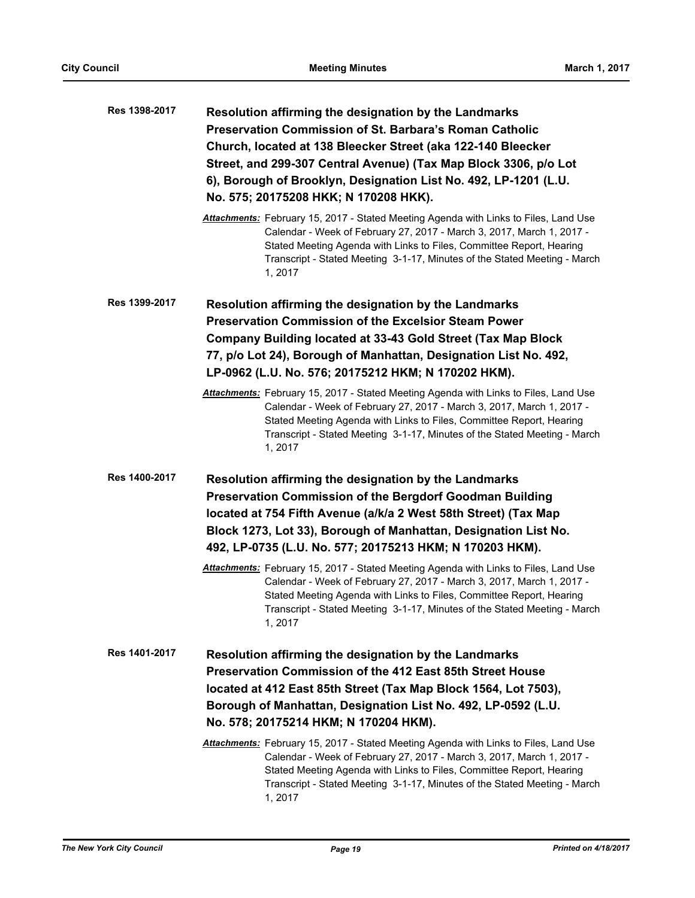| Res 1398-2017        | Resolution affirming the designation by the Landmarks<br>Preservation Commission of St. Barbara's Roman Catholic<br>Church, located at 138 Bleecker Street (aka 122-140 Bleecker<br>Street, and 299-307 Central Avenue) (Tax Map Block 3306, p/o Lot<br>6), Borough of Brooklyn, Designation List No. 492, LP-1201 (L.U.<br>No. 575; 20175208 HKK; N 170208 HKK). |
|----------------------|-------------------------------------------------------------------------------------------------------------------------------------------------------------------------------------------------------------------------------------------------------------------------------------------------------------------------------------------------------------------|
|                      | Attachments: February 15, 2017 - Stated Meeting Agenda with Links to Files, Land Use<br>Calendar - Week of February 27, 2017 - March 3, 2017, March 1, 2017 -<br>Stated Meeting Agenda with Links to Files, Committee Report, Hearing<br>Transcript - Stated Meeting 3-1-17, Minutes of the Stated Meeting - March<br>1, 2017                                     |
| <b>Res 1399-2017</b> | Resolution affirming the designation by the Landmarks<br><b>Preservation Commission of the Excelsior Steam Power</b><br><b>Company Building located at 33-43 Gold Street (Tax Map Block</b><br>77, p/o Lot 24), Borough of Manhattan, Designation List No. 492,<br>LP-0962 (L.U. No. 576; 20175212 HKM; N 170202 HKM).                                            |
|                      | Attachments: February 15, 2017 - Stated Meeting Agenda with Links to Files, Land Use<br>Calendar - Week of February 27, 2017 - March 3, 2017, March 1, 2017 -<br>Stated Meeting Agenda with Links to Files, Committee Report, Hearing<br>Transcript - Stated Meeting 3-1-17, Minutes of the Stated Meeting - March<br>1, 2017                                     |
| <b>Res 1400-2017</b> | Resolution affirming the designation by the Landmarks<br>Preservation Commission of the Bergdorf Goodman Building<br>located at 754 Fifth Avenue (a/k/a 2 West 58th Street) (Tax Map<br>Block 1273, Lot 33), Borough of Manhattan, Designation List No.<br>492, LP-0735 (L.U. No. 577; 20175213 HKM; N 170203 HKM).                                               |
|                      | Attachments: February 15, 2017 - Stated Meeting Agenda with Links to Files, Land Use<br>Calendar - Week of February 27, 2017 - March 3, 2017, March 1, 2017 -<br>Stated Meeting Agenda with Links to Files, Committee Report, Hearing<br>Transcript - Stated Meeting 3-1-17, Minutes of the Stated Meeting - March<br>1, 2017                                     |
| <b>Res 1401-2017</b> | Resolution affirming the designation by the Landmarks<br>Preservation Commission of the 412 East 85th Street House<br>located at 412 East 85th Street (Tax Map Block 1564, Lot 7503),<br>Borough of Manhattan, Designation List No. 492, LP-0592 (L.U.<br>No. 578; 20175214 HKM; N 170204 HKM).                                                                   |
|                      | <b>Attachments:</b> February 15, 2017 - Stated Meeting Agenda with Links to Files, Land Use<br>Calendar - Week of February 27, 2017 - March 3, 2017, March 1, 2017 -<br>Stated Meeting Agenda with Links to Files, Committee Report, Hearing<br>Transcript - Stated Meeting 3-1-17, Minutes of the Stated Meeting - March<br>1, 2017                              |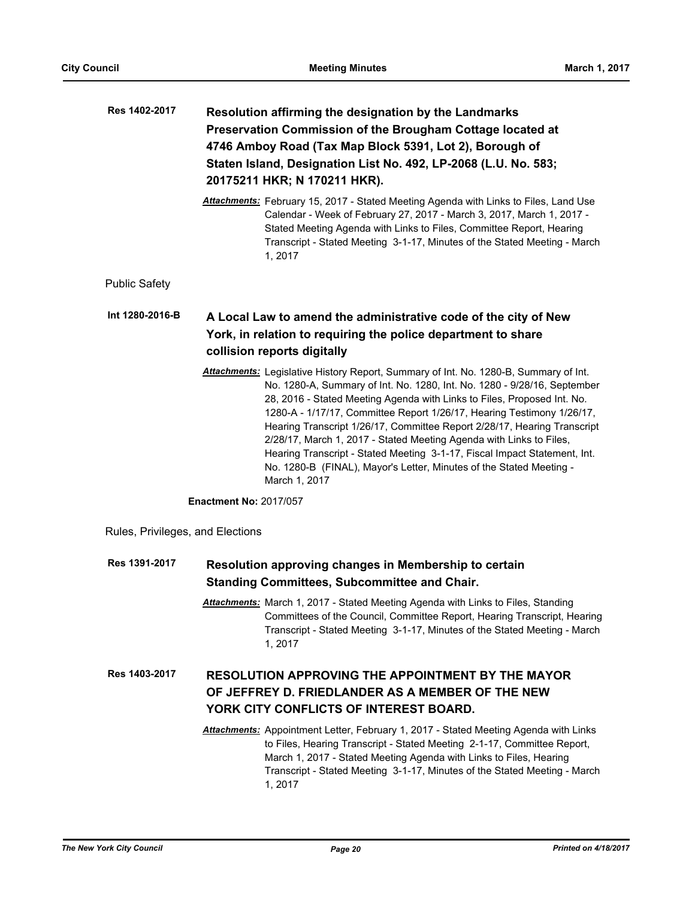| Res 1402-2017                    | Resolution affirming the designation by the Landmarks<br>Preservation Commission of the Brougham Cottage located at<br>4746 Amboy Road (Tax Map Block 5391, Lot 2), Borough of<br>Staten Island, Designation List No. 492, LP-2068 (L.U. No. 583;<br>20175211 HKR; N 170211 HKR).                                                                                                                                                                                                                                                                                                                                                             |
|----------------------------------|-----------------------------------------------------------------------------------------------------------------------------------------------------------------------------------------------------------------------------------------------------------------------------------------------------------------------------------------------------------------------------------------------------------------------------------------------------------------------------------------------------------------------------------------------------------------------------------------------------------------------------------------------|
|                                  | <b>Attachments:</b> February 15, 2017 - Stated Meeting Agenda with Links to Files, Land Use<br>Calendar - Week of February 27, 2017 - March 3, 2017, March 1, 2017 -<br>Stated Meeting Agenda with Links to Files, Committee Report, Hearing<br>Transcript - Stated Meeting 3-1-17, Minutes of the Stated Meeting - March<br>1, 2017                                                                                                                                                                                                                                                                                                          |
| <b>Public Safety</b>             |                                                                                                                                                                                                                                                                                                                                                                                                                                                                                                                                                                                                                                               |
| Int 1280-2016-B                  | A Local Law to amend the administrative code of the city of New<br>York, in relation to requiring the police department to share<br>collision reports digitally                                                                                                                                                                                                                                                                                                                                                                                                                                                                               |
|                                  | Attachments: Legislative History Report, Summary of Int. No. 1280-B, Summary of Int.<br>No. 1280-A, Summary of Int. No. 1280, Int. No. 1280 - 9/28/16, September<br>28, 2016 - Stated Meeting Agenda with Links to Files, Proposed Int. No.<br>1280-A - 1/17/17, Committee Report 1/26/17, Hearing Testimony 1/26/17,<br>Hearing Transcript 1/26/17, Committee Report 2/28/17, Hearing Transcript<br>2/28/17, March 1, 2017 - Stated Meeting Agenda with Links to Files,<br>Hearing Transcript - Stated Meeting 3-1-17, Fiscal Impact Statement, Int.<br>No. 1280-B (FINAL), Mayor's Letter, Minutes of the Stated Meeting -<br>March 1, 2017 |
|                                  | <b>Enactment No: 2017/057</b>                                                                                                                                                                                                                                                                                                                                                                                                                                                                                                                                                                                                                 |
| Rules, Privileges, and Elections |                                                                                                                                                                                                                                                                                                                                                                                                                                                                                                                                                                                                                                               |

**Resolution approving changes in Membership to certain Standing Committees, Subcommittee and Chair. Res 1391-2017**

> *Attachments:* March 1, 2017 - Stated Meeting Agenda with Links to Files, Standing Committees of the Council, Committee Report, Hearing Transcript, Hearing Transcript - Stated Meeting 3-1-17, Minutes of the Stated Meeting - March 1, 2017

**RESOLUTION APPROVING THE APPOINTMENT BY THE MAYOR OF JEFFREY D. FRIEDLANDER AS A MEMBER OF THE NEW YORK CITY CONFLICTS OF INTEREST BOARD. Res 1403-2017**

> *Attachments:* Appointment Letter, February 1, 2017 - Stated Meeting Agenda with Links to Files, Hearing Transcript - Stated Meeting 2-1-17, Committee Report, March 1, 2017 - Stated Meeting Agenda with Links to Files, Hearing Transcript - Stated Meeting 3-1-17, Minutes of the Stated Meeting - March 1, 2017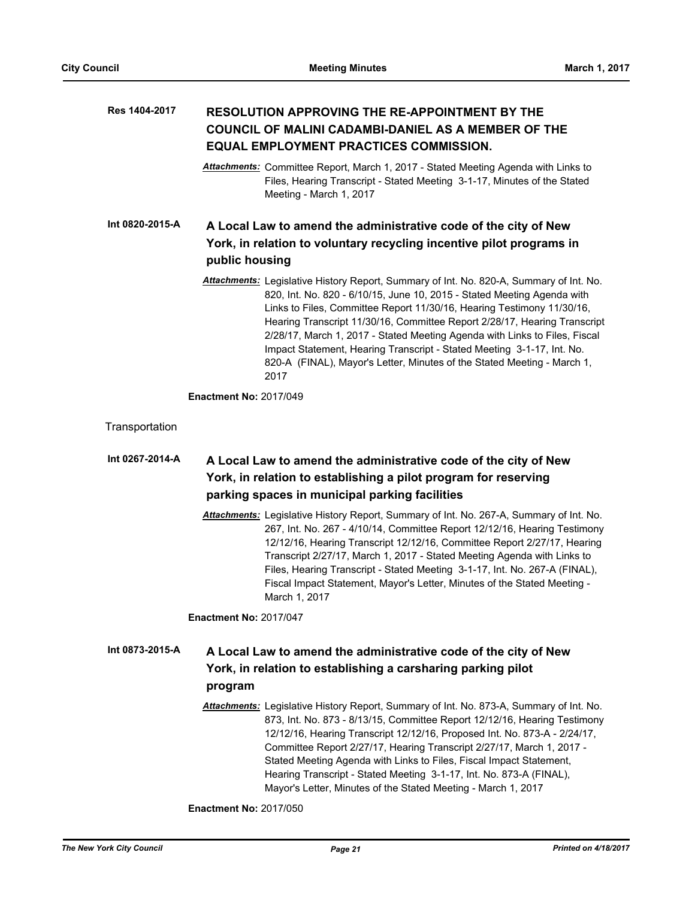| <b>Res 1404-2017</b> | <b>RESOLUTION APPROVING THE RE-APPOINTMENT BY THE</b><br><b>COUNCIL OF MALINI CADAMBI-DANIEL AS A MEMBER OF THE</b><br><b>EQUAL EMPLOYMENT PRACTICES COMMISSION.</b>                                                                                                                                                                                                                                                                                                                                                                                                 |
|----------------------|----------------------------------------------------------------------------------------------------------------------------------------------------------------------------------------------------------------------------------------------------------------------------------------------------------------------------------------------------------------------------------------------------------------------------------------------------------------------------------------------------------------------------------------------------------------------|
|                      | Attachments: Committee Report, March 1, 2017 - Stated Meeting Agenda with Links to<br>Files, Hearing Transcript - Stated Meeting 3-1-17, Minutes of the Stated<br>Meeting - March 1, 2017                                                                                                                                                                                                                                                                                                                                                                            |
| Int 0820-2015-A      | A Local Law to amend the administrative code of the city of New<br>York, in relation to voluntary recycling incentive pilot programs in                                                                                                                                                                                                                                                                                                                                                                                                                              |
|                      | public housing                                                                                                                                                                                                                                                                                                                                                                                                                                                                                                                                                       |
|                      | Attachments: Legislative History Report, Summary of Int. No. 820-A, Summary of Int. No.<br>820, Int. No. 820 - 6/10/15, June 10, 2015 - Stated Meeting Agenda with<br>Links to Files, Committee Report 11/30/16, Hearing Testimony 11/30/16,<br>Hearing Transcript 11/30/16, Committee Report 2/28/17, Hearing Transcript<br>2/28/17, March 1, 2017 - Stated Meeting Agenda with Links to Files, Fiscal<br>Impact Statement, Hearing Transcript - Stated Meeting 3-1-17, Int. No.<br>820-A (FINAL), Mayor's Letter, Minutes of the Stated Meeting - March 1,<br>2017 |
|                      | <b>Enactment No: 2017/049</b>                                                                                                                                                                                                                                                                                                                                                                                                                                                                                                                                        |
| Transportation       |                                                                                                                                                                                                                                                                                                                                                                                                                                                                                                                                                                      |
| Int 0267-2014-A      | A Local Law to amend the administrative code of the city of New<br>York, in relation to establishing a pilot program for reserving<br>parking spaces in municipal parking facilities                                                                                                                                                                                                                                                                                                                                                                                 |
|                      | Attachments: Legislative History Report, Summary of Int. No. 267-A, Summary of Int. No.<br>267, Int. No. 267 - 4/10/14, Committee Report 12/12/16, Hearing Testimony<br>12/12/16, Hearing Transcript 12/12/16, Committee Report 2/27/17, Hearing<br>Transcript 2/27/17, March 1, 2017 - Stated Meeting Agenda with Links to<br>Files, Hearing Transcript - Stated Meeting 3-1-17, Int. No. 267-A (FINAL),<br>Fiscal Impact Statement, Mayor's Letter, Minutes of the Stated Meeting -<br>March 1, 2017                                                               |
|                      | <b>Enactment No: 2017/047</b>                                                                                                                                                                                                                                                                                                                                                                                                                                                                                                                                        |
| Int 0873-2015-A      | A Local Law to amend the administrative code of the city of New<br>York, in relation to establishing a carsharing parking pilot<br>program                                                                                                                                                                                                                                                                                                                                                                                                                           |
|                      | Attachments: Legislative History Report, Summary of Int. No. 873-A, Summary of Int. No.<br>873, Int. No. 873 - 8/13/15, Committee Report 12/12/16, Hearing Testimony<br>12/12/16, Hearing Transcript 12/12/16, Proposed Int. No. 873-A - 2/24/17,<br>Committee Report 2/27/17, Hearing Transcript 2/27/17, March 1, 2017 -<br>Stated Meeting Agenda with Links to Files, Fiscal Impact Statement,<br>Hearing Transcript - Stated Meeting 3-1-17, Int. No. 873-A (FINAL),<br>Mayor's Letter, Minutes of the Stated Meeting - March 1, 2017                            |

**Enactment No:** 2017/050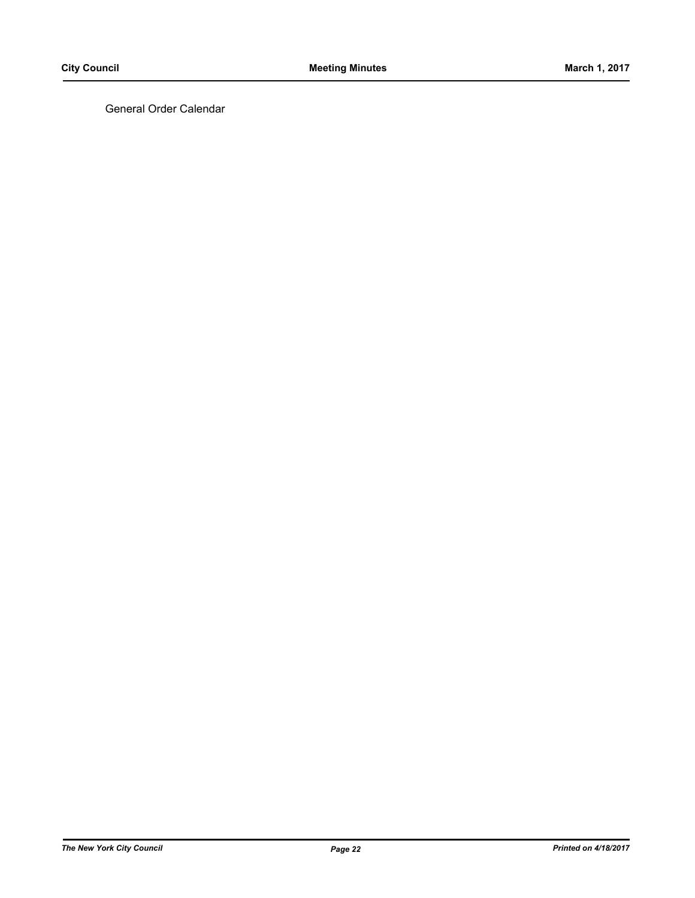General Order Calendar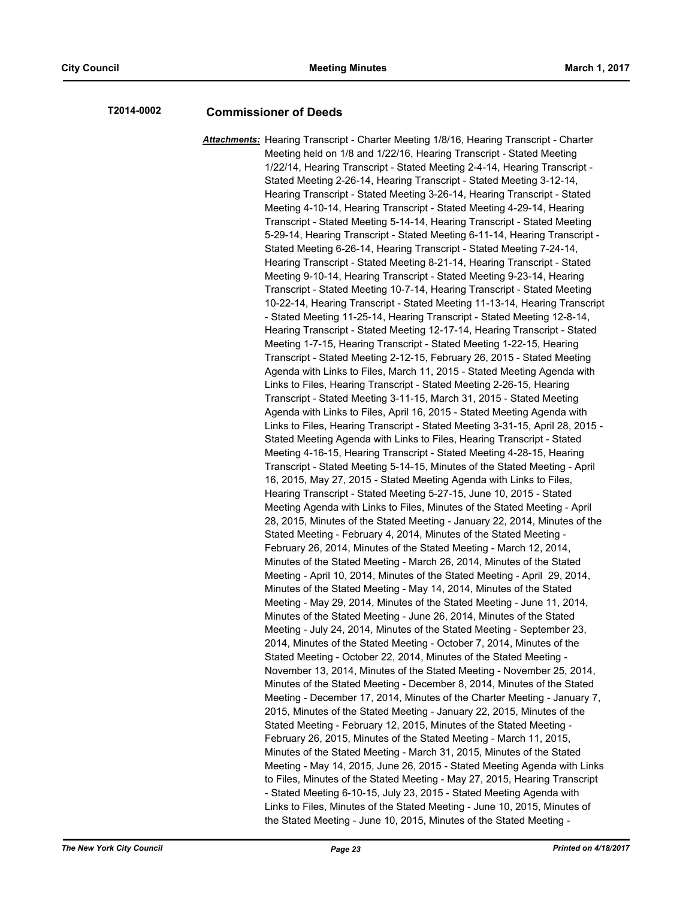# **T2014-0002 Commissioner of Deeds**

*Attachments:* Hearing Transcript - Charter Meeting 1/8/16, Hearing Transcript - Charter Meeting held on 1/8 and 1/22/16, Hearing Transcript - Stated Meeting 1/22/14, Hearing Transcript - Stated Meeting 2-4-14, Hearing Transcript - Stated Meeting 2-26-14, Hearing Transcript - Stated Meeting 3-12-14, Hearing Transcript - Stated Meeting 3-26-14, Hearing Transcript - Stated Meeting 4-10-14, Hearing Transcript - Stated Meeting 4-29-14, Hearing Transcript - Stated Meeting 5-14-14, Hearing Transcript - Stated Meeting 5-29-14, Hearing Transcript - Stated Meeting 6-11-14, Hearing Transcript - Stated Meeting 6-26-14, Hearing Transcript - Stated Meeting 7-24-14, Hearing Transcript - Stated Meeting 8-21-14, Hearing Transcript - Stated Meeting 9-10-14, Hearing Transcript - Stated Meeting 9-23-14, Hearing Transcript - Stated Meeting 10-7-14, Hearing Transcript - Stated Meeting 10-22-14, Hearing Transcript - Stated Meeting 11-13-14, Hearing Transcript - Stated Meeting 11-25-14, Hearing Transcript - Stated Meeting 12-8-14, Hearing Transcript - Stated Meeting 12-17-14, Hearing Transcript - Stated Meeting 1-7-15, Hearing Transcript - Stated Meeting 1-22-15, Hearing Transcript - Stated Meeting 2-12-15, February 26, 2015 - Stated Meeting Agenda with Links to Files, March 11, 2015 - Stated Meeting Agenda with Links to Files, Hearing Transcript - Stated Meeting 2-26-15, Hearing Transcript - Stated Meeting 3-11-15, March 31, 2015 - Stated Meeting Agenda with Links to Files, April 16, 2015 - Stated Meeting Agenda with Links to Files, Hearing Transcript - Stated Meeting 3-31-15, April 28, 2015 - Stated Meeting Agenda with Links to Files, Hearing Transcript - Stated Meeting 4-16-15, Hearing Transcript - Stated Meeting 4-28-15, Hearing Transcript - Stated Meeting 5-14-15, Minutes of the Stated Meeting - April 16, 2015, May 27, 2015 - Stated Meeting Agenda with Links to Files, Hearing Transcript - Stated Meeting 5-27-15, June 10, 2015 - Stated Meeting Agenda with Links to Files, Minutes of the Stated Meeting - April 28, 2015, Minutes of the Stated Meeting - January 22, 2014, Minutes of the Stated Meeting - February 4, 2014, Minutes of the Stated Meeting - February 26, 2014, Minutes of the Stated Meeting - March 12, 2014, Minutes of the Stated Meeting - March 26, 2014, Minutes of the Stated Meeting - April 10, 2014, Minutes of the Stated Meeting - April 29, 2014, Minutes of the Stated Meeting - May 14, 2014, Minutes of the Stated Meeting - May 29, 2014, Minutes of the Stated Meeting - June 11, 2014, Minutes of the Stated Meeting - June 26, 2014, Minutes of the Stated Meeting - July 24, 2014, Minutes of the Stated Meeting - September 23, 2014, Minutes of the Stated Meeting - October 7, 2014, Minutes of the Stated Meeting - October 22, 2014, Minutes of the Stated Meeting - November 13, 2014, Minutes of the Stated Meeting - November 25, 2014, Minutes of the Stated Meeting - December 8, 2014, Minutes of the Stated Meeting - December 17, 2014, Minutes of the Charter Meeting - January 7, 2015, Minutes of the Stated Meeting - January 22, 2015, Minutes of the Stated Meeting - February 12, 2015, Minutes of the Stated Meeting - February 26, 2015, Minutes of the Stated Meeting - March 11, 2015, Minutes of the Stated Meeting - March 31, 2015, Minutes of the Stated Meeting - May 14, 2015, June 26, 2015 - Stated Meeting Agenda with Links to Files, Minutes of the Stated Meeting - May 27, 2015, Hearing Transcript - Stated Meeting 6-10-15, July 23, 2015 - Stated Meeting Agenda with Links to Files, Minutes of the Stated Meeting - June 10, 2015, Minutes of the Stated Meeting - June 10, 2015, Minutes of the Stated Meeting -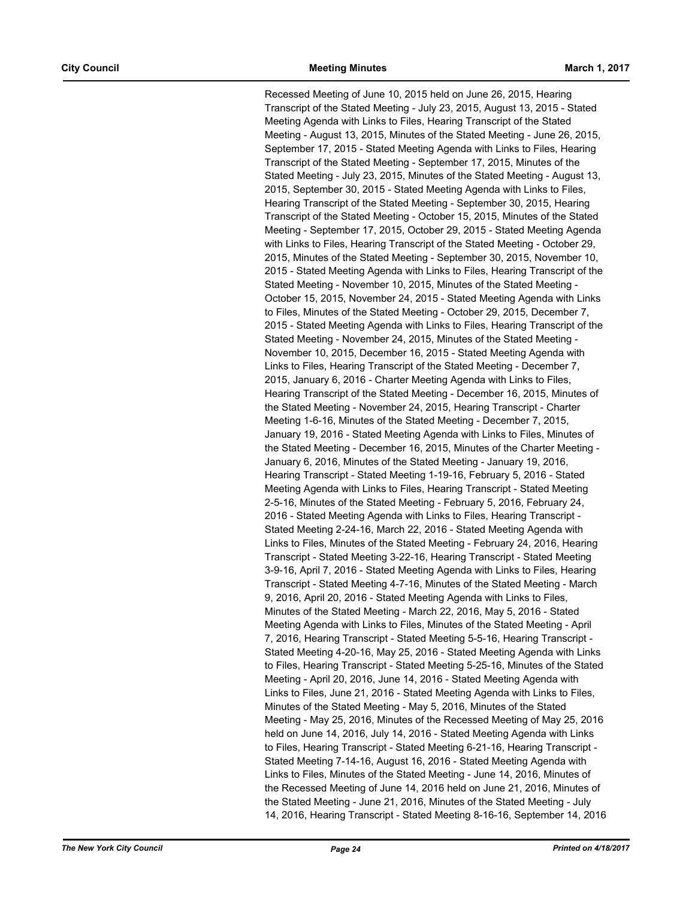Recessed Meeting of June 10, 2015 held on June 26, 2015, Hearing Transcript of the Stated Meeting - July 23, 2015, August 13, 2015 - Stated Meeting Agenda with Links to Files, Hearing Transcript of the Stated Meeting - August 13, 2015, Minutes of the Stated Meeting - June 26, 2015, September 17, 2015 - Stated Meeting Agenda with Links to Files, Hearing Transcript of the Stated Meeting - September 17, 2015, Minutes of the Stated Meeting - July 23, 2015, Minutes of the Stated Meeting - August 13, 2015, September 30, 2015 - Stated Meeting Agenda with Links to Files, Hearing Transcript of the Stated Meeting - September 30, 2015, Hearing Transcript of the Stated Meeting - October 15, 2015, Minutes of the Stated Meeting - September 17, 2015, October 29, 2015 - Stated Meeting Agenda with Links to Files, Hearing Transcript of the Stated Meeting - October 29, 2015, Minutes of the Stated Meeting - September 30, 2015, November 10, 2015 - Stated Meeting Agenda with Links to Files, Hearing Transcript of the Stated Meeting - November 10, 2015, Minutes of the Stated Meeting - October 15, 2015, November 24, 2015 - Stated Meeting Agenda with Links to Files, Minutes of the Stated Meeting - October 29, 2015, December 7, 2015 - Stated Meeting Agenda with Links to Files, Hearing Transcript of the Stated Meeting - November 24, 2015, Minutes of the Stated Meeting - November 10, 2015, December 16, 2015 - Stated Meeting Agenda with Links to Files, Hearing Transcript of the Stated Meeting - December 7, 2015, January 6, 2016 - Charter Meeting Agenda with Links to Files, Hearing Transcript of the Stated Meeting - December 16, 2015, Minutes of the Stated Meeting - November 24, 2015, Hearing Transcript - Charter Meeting 1-6-16, Minutes of the Stated Meeting - December 7, 2015, January 19, 2016 - Stated Meeting Agenda with Links to Files, Minutes of the Stated Meeting - December 16, 2015, Minutes of the Charter Meeting - January 6, 2016, Minutes of the Stated Meeting - January 19, 2016, Hearing Transcript - Stated Meeting 1-19-16, February 5, 2016 - Stated Meeting Agenda with Links to Files, Hearing Transcript - Stated Meeting 2-5-16, Minutes of the Stated Meeting - February 5, 2016, February 24, 2016 - Stated Meeting Agenda with Links to Files, Hearing Transcript - Stated Meeting 2-24-16, March 22, 2016 - Stated Meeting Agenda with Links to Files, Minutes of the Stated Meeting - February 24, 2016, Hearing Transcript - Stated Meeting 3-22-16, Hearing Transcript - Stated Meeting 3-9-16, April 7, 2016 - Stated Meeting Agenda with Links to Files, Hearing Transcript - Stated Meeting 4-7-16, Minutes of the Stated Meeting - March 9, 2016, April 20, 2016 - Stated Meeting Agenda with Links to Files, Minutes of the Stated Meeting - March 22, 2016, May 5, 2016 - Stated Meeting Agenda with Links to Files, Minutes of the Stated Meeting - April 7, 2016, Hearing Transcript - Stated Meeting 5-5-16, Hearing Transcript - Stated Meeting 4-20-16, May 25, 2016 - Stated Meeting Agenda with Links to Files, Hearing Transcript - Stated Meeting 5-25-16, Minutes of the Stated Meeting - April 20, 2016, June 14, 2016 - Stated Meeting Agenda with Links to Files, June 21, 2016 - Stated Meeting Agenda with Links to Files, Minutes of the Stated Meeting - May 5, 2016, Minutes of the Stated Meeting - May 25, 2016, Minutes of the Recessed Meeting of May 25, 2016 held on June 14, 2016, July 14, 2016 - Stated Meeting Agenda with Links to Files, Hearing Transcript - Stated Meeting 6-21-16, Hearing Transcript - Stated Meeting 7-14-16, August 16, 2016 - Stated Meeting Agenda with Links to Files, Minutes of the Stated Meeting - June 14, 2016, Minutes of the Recessed Meeting of June 14, 2016 held on June 21, 2016, Minutes of the Stated Meeting - June 21, 2016, Minutes of the Stated Meeting - July 14, 2016, Hearing Transcript - Stated Meeting 8-16-16, September 14, 2016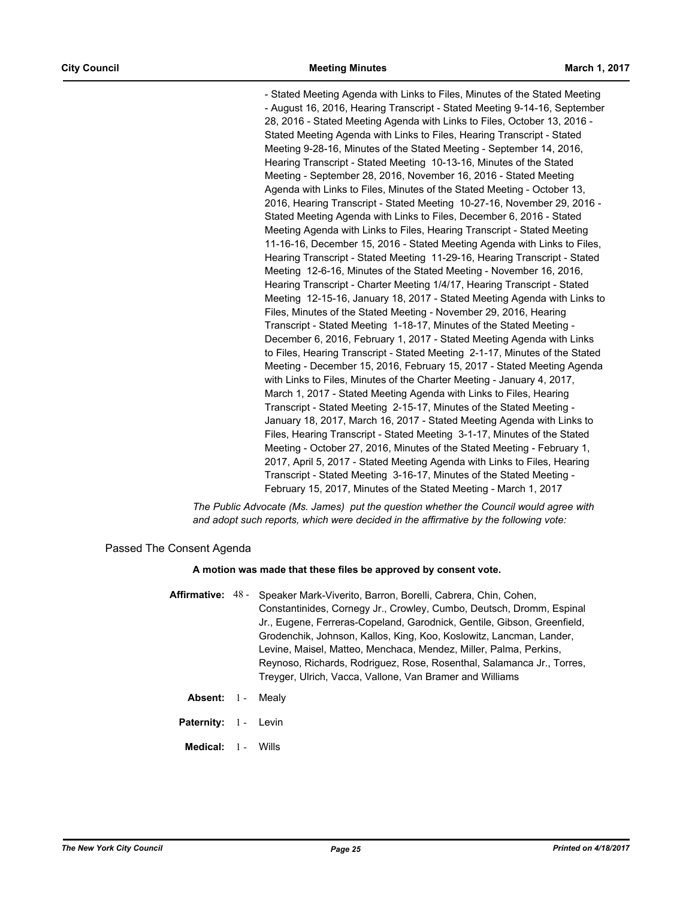- Stated Meeting Agenda with Links to Files, Minutes of the Stated Meeting - August 16, 2016, Hearing Transcript - Stated Meeting 9-14-16, September 28, 2016 - Stated Meeting Agenda with Links to Files, October 13, 2016 - Stated Meeting Agenda with Links to Files, Hearing Transcript - Stated Meeting 9-28-16, Minutes of the Stated Meeting - September 14, 2016, Hearing Transcript - Stated Meeting 10-13-16, Minutes of the Stated Meeting - September 28, 2016, November 16, 2016 - Stated Meeting Agenda with Links to Files, Minutes of the Stated Meeting - October 13, 2016, Hearing Transcript - Stated Meeting 10-27-16, November 29, 2016 - Stated Meeting Agenda with Links to Files, December 6, 2016 - Stated Meeting Agenda with Links to Files, Hearing Transcript - Stated Meeting 11-16-16, December 15, 2016 - Stated Meeting Agenda with Links to Files, Hearing Transcript - Stated Meeting 11-29-16, Hearing Transcript - Stated Meeting 12-6-16, Minutes of the Stated Meeting - November 16, 2016, Hearing Transcript - Charter Meeting 1/4/17, Hearing Transcript - Stated Meeting 12-15-16, January 18, 2017 - Stated Meeting Agenda with Links to Files, Minutes of the Stated Meeting - November 29, 2016, Hearing Transcript - Stated Meeting 1-18-17, Minutes of the Stated Meeting - December 6, 2016, February 1, 2017 - Stated Meeting Agenda with Links to Files, Hearing Transcript - Stated Meeting 2-1-17, Minutes of the Stated Meeting - December 15, 2016, February 15, 2017 - Stated Meeting Agenda with Links to Files, Minutes of the Charter Meeting - January 4, 2017, March 1, 2017 - Stated Meeting Agenda with Links to Files, Hearing Transcript - Stated Meeting 2-15-17, Minutes of the Stated Meeting - January 18, 2017, March 16, 2017 - Stated Meeting Agenda with Links to Files, Hearing Transcript - Stated Meeting 3-1-17, Minutes of the Stated Meeting - October 27, 2016, Minutes of the Stated Meeting - February 1, 2017, April 5, 2017 - Stated Meeting Agenda with Links to Files, Hearing Transcript - Stated Meeting 3-16-17, Minutes of the Stated Meeting - February 15, 2017, Minutes of the Stated Meeting - March 1, 2017

*The Public Advocate (Ms. James) put the question whether the Council would agree with and adopt such reports, which were decided in the affirmative by the following vote:*

Passed The Consent Agenda

### **A motion was made that these files be approved by consent vote.**

- **Affirmative:** Speaker Mark-Viverito, Barron, Borelli, Cabrera, Chin, Cohen, Constantinides, Cornegy Jr., Crowley, Cumbo, Deutsch, Dromm, Espinal Jr., Eugene, Ferreras-Copeland, Garodnick, Gentile, Gibson, Greenfield, Grodenchik, Johnson, Kallos, King, Koo, Koslowitz, Lancman, Lander, Levine, Maisel, Matteo, Menchaca, Mendez, Miller, Palma, Perkins, Reynoso, Richards, Rodriguez, Rose, Rosenthal, Salamanca Jr., Torres, Treyger, Ulrich, Vacca, Vallone, Van Bramer and Williams Affirmative: 48 -
	- Absent: 1 Mealy
	- Paternity: 1 Levin
	- **Medical:** 1 Wills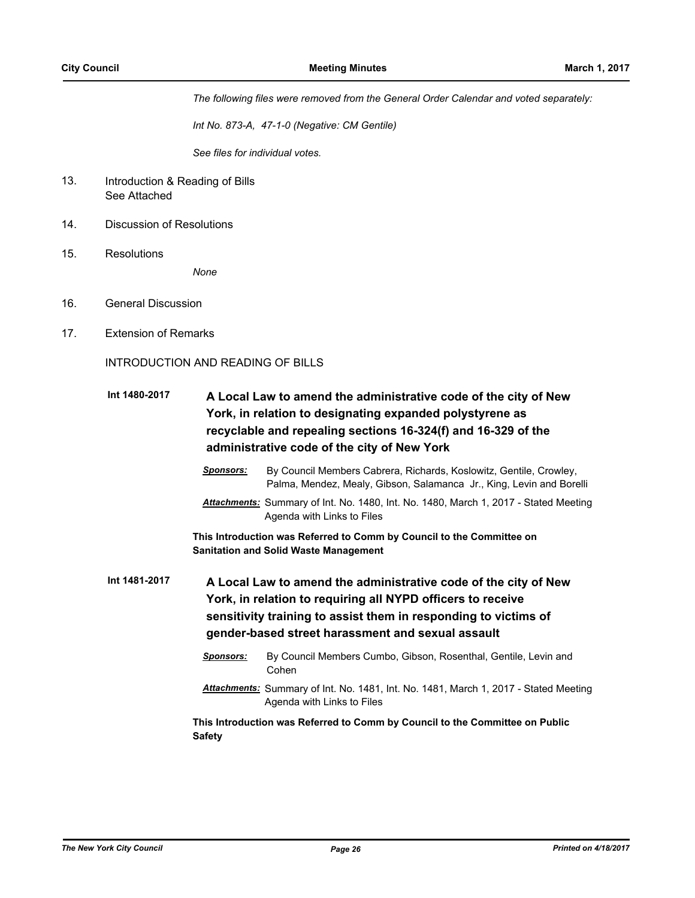*The following files were removed from the General Order Calendar and voted separately:*

*Int No. 873-A, 47-1-0 (Negative: CM Gentile)*

*See files for individual votes.*

- Introduction & Reading of Bills See Attached 13.
- 14. Discussion of Resolutions
- 15. Resolutions

*None*

- 16. General Discussion
- 17. Extension of Remarks

INTRODUCTION AND READING OF BILLS

# **A Local Law to amend the administrative code of the city of New York, in relation to designating expanded polystyrene as recyclable and repealing sections 16-324(f) and 16-329 of the administrative code of the city of New York Int 1480-2017**

- *Sponsors:* By Council Members Cabrera, Richards, Koslowitz, Gentile, Crowley, Palma, Mendez, Mealy, Gibson, Salamanca Jr., King, Levin and Borelli
- *Attachments:* Summary of Int. No. 1480, Int. No. 1480, March 1, 2017 Stated Meeting Agenda with Links to Files

**This Introduction was Referred to Comm by Council to the Committee on Sanitation and Solid Waste Management**

**A Local Law to amend the administrative code of the city of New York, in relation to requiring all NYPD officers to receive sensitivity training to assist them in responding to victims of gender-based street harassment and sexual assault Int 1481-2017**

- *Sponsors:* By Council Members Cumbo, Gibson, Rosenthal, Gentile, Levin and Cohen
- *Attachments:* Summary of Int. No. 1481, Int. No. 1481, March 1, 2017 Stated Meeting Agenda with Links to Files

**This Introduction was Referred to Comm by Council to the Committee on Public Safety**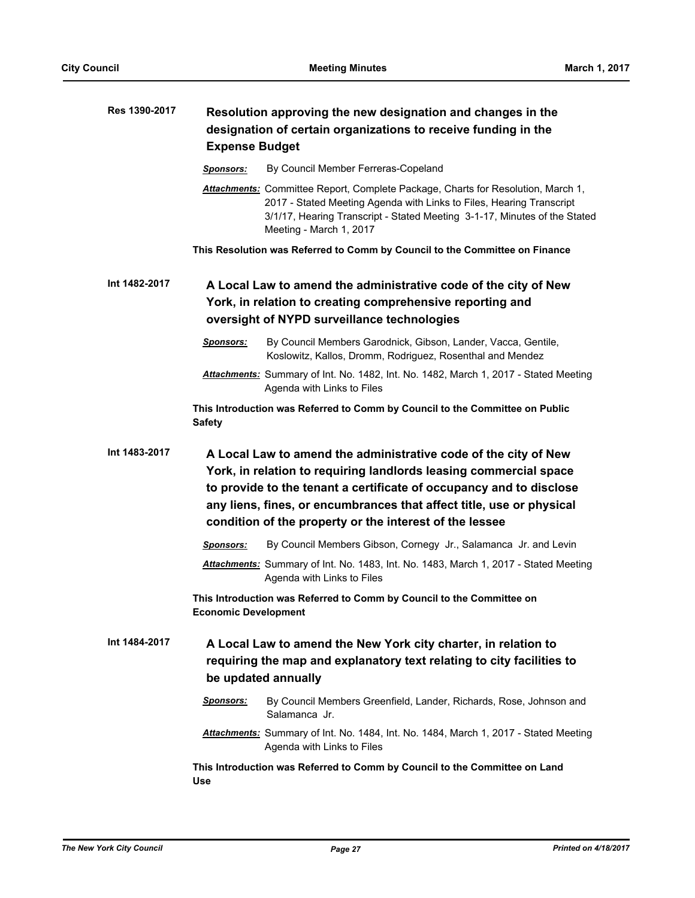| Res 1390-2017 | Resolution approving the new designation and changes in the<br>designation of certain organizations to receive funding in the<br><b>Expense Budget</b>                                                                                                                                                                                         |  |
|---------------|------------------------------------------------------------------------------------------------------------------------------------------------------------------------------------------------------------------------------------------------------------------------------------------------------------------------------------------------|--|
|               | By Council Member Ferreras-Copeland<br><u>Sponsors:</u>                                                                                                                                                                                                                                                                                        |  |
|               | Attachments: Committee Report, Complete Package, Charts for Resolution, March 1,<br>2017 - Stated Meeting Agenda with Links to Files, Hearing Transcript<br>3/1/17, Hearing Transcript - Stated Meeting 3-1-17, Minutes of the Stated<br>Meeting - March 1, 2017                                                                               |  |
|               | This Resolution was Referred to Comm by Council to the Committee on Finance                                                                                                                                                                                                                                                                    |  |
| Int 1482-2017 | A Local Law to amend the administrative code of the city of New                                                                                                                                                                                                                                                                                |  |
|               | York, in relation to creating comprehensive reporting and                                                                                                                                                                                                                                                                                      |  |
|               | oversight of NYPD surveillance technologies                                                                                                                                                                                                                                                                                                    |  |
|               | By Council Members Garodnick, Gibson, Lander, Vacca, Gentile,<br><u>Sponsors:</u><br>Koslowitz, Kallos, Dromm, Rodriguez, Rosenthal and Mendez                                                                                                                                                                                                 |  |
|               | Attachments: Summary of Int. No. 1482, Int. No. 1482, March 1, 2017 - Stated Meeting<br>Agenda with Links to Files                                                                                                                                                                                                                             |  |
|               | This Introduction was Referred to Comm by Council to the Committee on Public<br><b>Safety</b>                                                                                                                                                                                                                                                  |  |
| Int 1483-2017 | A Local Law to amend the administrative code of the city of New<br>York, in relation to requiring landlords leasing commercial space<br>to provide to the tenant a certificate of occupancy and to disclose<br>any liens, fines, or encumbrances that affect title, use or physical<br>condition of the property or the interest of the lessee |  |
|               | By Council Members Gibson, Cornegy Jr., Salamanca Jr. and Levin<br><u>Sponsors:</u>                                                                                                                                                                                                                                                            |  |
|               | Attachments: Summary of Int. No. 1483, Int. No. 1483, March 1, 2017 - Stated Meeting<br>Agenda with Links to Files                                                                                                                                                                                                                             |  |
|               | This Introduction was Referred to Comm by Council to the Committee on<br><b>Economic Development</b>                                                                                                                                                                                                                                           |  |
| Int 1484-2017 | A Local Law to amend the New York city charter, in relation to<br>requiring the map and explanatory text relating to city facilities to<br>be updated annually                                                                                                                                                                                 |  |
|               | By Council Members Greenfield, Lander, Richards, Rose, Johnson and<br><b>Sponsors:</b><br>Salamanca Jr.                                                                                                                                                                                                                                        |  |
|               | Attachments: Summary of Int. No. 1484, Int. No. 1484, March 1, 2017 - Stated Meeting<br>Agenda with Links to Files                                                                                                                                                                                                                             |  |
|               | This Introduction was Referred to Comm by Council to the Committee on Land<br>Use                                                                                                                                                                                                                                                              |  |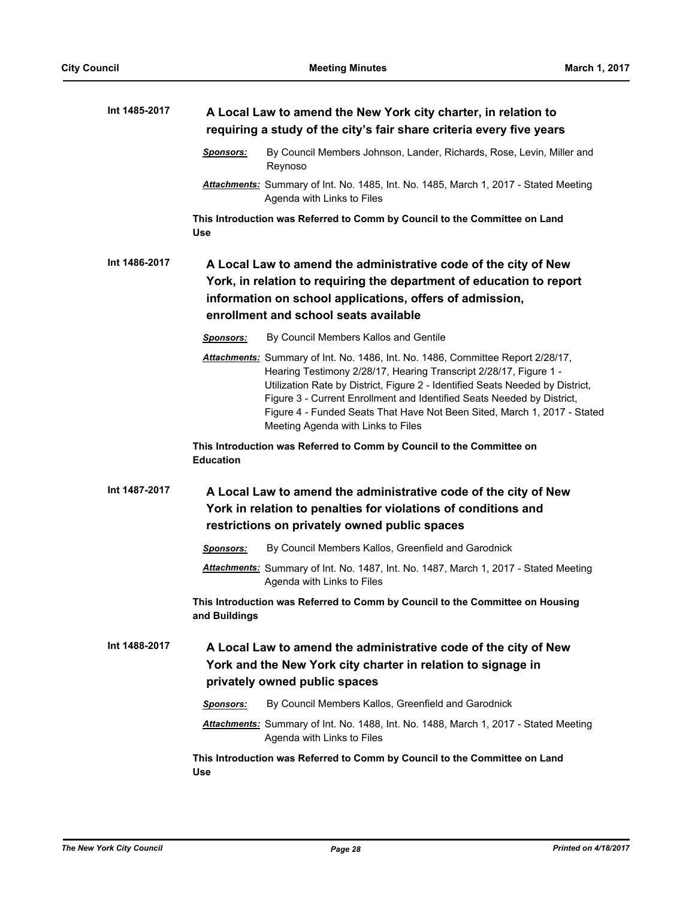| Int 1485-2017 | A Local Law to amend the New York city charter, in relation to<br>requiring a study of the city's fair share criteria every five years                                                                                                                                                                                                                                                                                            |
|---------------|-----------------------------------------------------------------------------------------------------------------------------------------------------------------------------------------------------------------------------------------------------------------------------------------------------------------------------------------------------------------------------------------------------------------------------------|
|               | By Council Members Johnson, Lander, Richards, Rose, Levin, Miller and<br><u>Sponsors:</u><br>Reynoso                                                                                                                                                                                                                                                                                                                              |
|               | Attachments: Summary of Int. No. 1485, Int. No. 1485, March 1, 2017 - Stated Meeting<br>Agenda with Links to Files                                                                                                                                                                                                                                                                                                                |
|               | This Introduction was Referred to Comm by Council to the Committee on Land<br><b>Use</b>                                                                                                                                                                                                                                                                                                                                          |
| Int 1486-2017 | A Local Law to amend the administrative code of the city of New<br>York, in relation to requiring the department of education to report<br>information on school applications, offers of admission,<br>enrollment and school seats available                                                                                                                                                                                      |
|               | By Council Members Kallos and Gentile<br><b>Sponsors:</b>                                                                                                                                                                                                                                                                                                                                                                         |
|               | Attachments: Summary of Int. No. 1486, Int. No. 1486, Committee Report 2/28/17,<br>Hearing Testimony 2/28/17, Hearing Transcript 2/28/17, Figure 1 -<br>Utilization Rate by District, Figure 2 - Identified Seats Needed by District,<br>Figure 3 - Current Enrollment and Identified Seats Needed by District,<br>Figure 4 - Funded Seats That Have Not Been Sited, March 1, 2017 - Stated<br>Meeting Agenda with Links to Files |
|               | This Introduction was Referred to Comm by Council to the Committee on<br><b>Education</b>                                                                                                                                                                                                                                                                                                                                         |
| Int 1487-2017 | A Local Law to amend the administrative code of the city of New<br>York in relation to penalties for violations of conditions and<br>restrictions on privately owned public spaces                                                                                                                                                                                                                                                |
|               | By Council Members Kallos, Greenfield and Garodnick<br><b>Sponsors:</b>                                                                                                                                                                                                                                                                                                                                                           |
|               | Attachments: Summary of Int. No. 1487, Int. No. 1487, March 1, 2017 - Stated Meeting<br>Agenda with Links to Files                                                                                                                                                                                                                                                                                                                |
|               | This Introduction was Referred to Comm by Council to the Committee on Housing<br>and Buildings                                                                                                                                                                                                                                                                                                                                    |
| Int 1488-2017 | A Local Law to amend the administrative code of the city of New<br>York and the New York city charter in relation to signage in<br>privately owned public spaces                                                                                                                                                                                                                                                                  |
|               | By Council Members Kallos, Greenfield and Garodnick<br><b>Sponsors:</b>                                                                                                                                                                                                                                                                                                                                                           |
|               | Attachments: Summary of Int. No. 1488, Int. No. 1488, March 1, 2017 - Stated Meeting<br>Agenda with Links to Files                                                                                                                                                                                                                                                                                                                |
|               | This Introduction was Referred to Comm by Council to the Committee on Land<br><b>Use</b>                                                                                                                                                                                                                                                                                                                                          |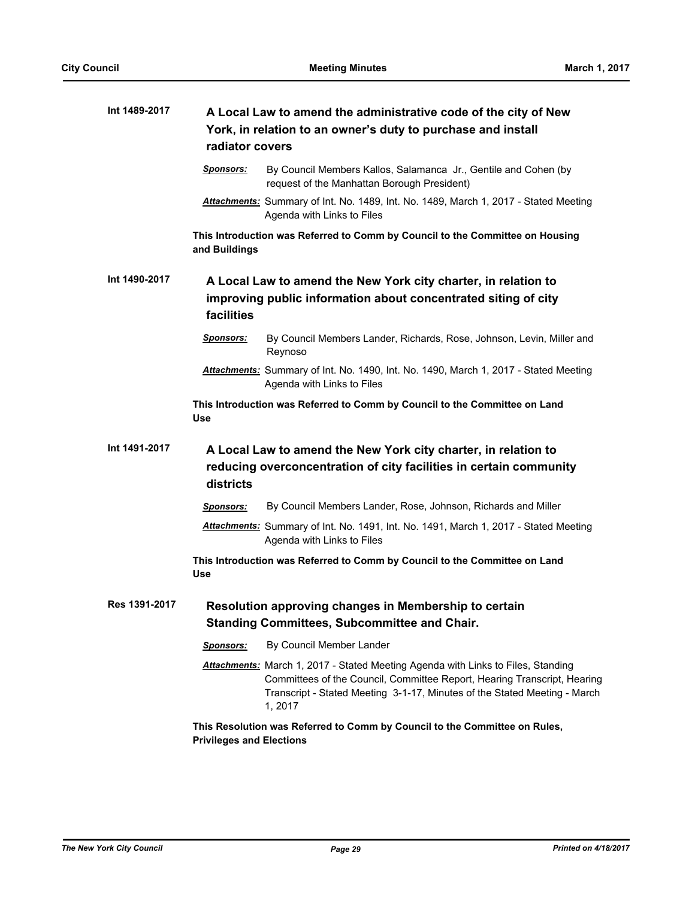| Int 1489-2017 | A Local Law to amend the administrative code of the city of New<br>York, in relation to an owner's duty to purchase and install<br>radiator covers                                                                                                          |  |  |
|---------------|-------------------------------------------------------------------------------------------------------------------------------------------------------------------------------------------------------------------------------------------------------------|--|--|
|               | By Council Members Kallos, Salamanca Jr., Gentile and Cohen (by<br>Sponsors:<br>request of the Manhattan Borough President)                                                                                                                                 |  |  |
|               | Attachments: Summary of Int. No. 1489, Int. No. 1489, March 1, 2017 - Stated Meeting<br>Agenda with Links to Files                                                                                                                                          |  |  |
|               | This Introduction was Referred to Comm by Council to the Committee on Housing<br>and Buildings                                                                                                                                                              |  |  |
| Int 1490-2017 | A Local Law to amend the New York city charter, in relation to<br>improving public information about concentrated siting of city<br>facilities                                                                                                              |  |  |
|               | By Council Members Lander, Richards, Rose, Johnson, Levin, Miller and<br><u>Sponsors:</u><br>Reynoso                                                                                                                                                        |  |  |
|               | Attachments: Summary of Int. No. 1490, Int. No. 1490, March 1, 2017 - Stated Meeting<br>Agenda with Links to Files                                                                                                                                          |  |  |
|               | This Introduction was Referred to Comm by Council to the Committee on Land<br><b>Use</b>                                                                                                                                                                    |  |  |
| Int 1491-2017 | A Local Law to amend the New York city charter, in relation to<br>reducing overconcentration of city facilities in certain community<br>districts                                                                                                           |  |  |
|               | By Council Members Lander, Rose, Johnson, Richards and Miller<br>Sponsors:                                                                                                                                                                                  |  |  |
|               | Attachments: Summary of Int. No. 1491, Int. No. 1491, March 1, 2017 - Stated Meeting<br>Agenda with Links to Files                                                                                                                                          |  |  |
|               | This Introduction was Referred to Comm by Council to the Committee on Land<br><b>Use</b>                                                                                                                                                                    |  |  |
| Res 1391-2017 | Resolution approving changes in Membership to certain<br><b>Standing Committees, Subcommittee and Chair.</b>                                                                                                                                                |  |  |
|               | By Council Member Lander<br><b>Sponsors:</b>                                                                                                                                                                                                                |  |  |
|               | <b>Attachments:</b> March 1, 2017 - Stated Meeting Agenda with Links to Files, Standing<br>Committees of the Council, Committee Report, Hearing Transcript, Hearing<br>Transcript - Stated Meeting 3-1-17, Minutes of the Stated Meeting - March<br>1, 2017 |  |  |
|               | This Resolution was Referred to Comm by Council to the Committee on Rules,<br><b>Privileges and Elections</b>                                                                                                                                               |  |  |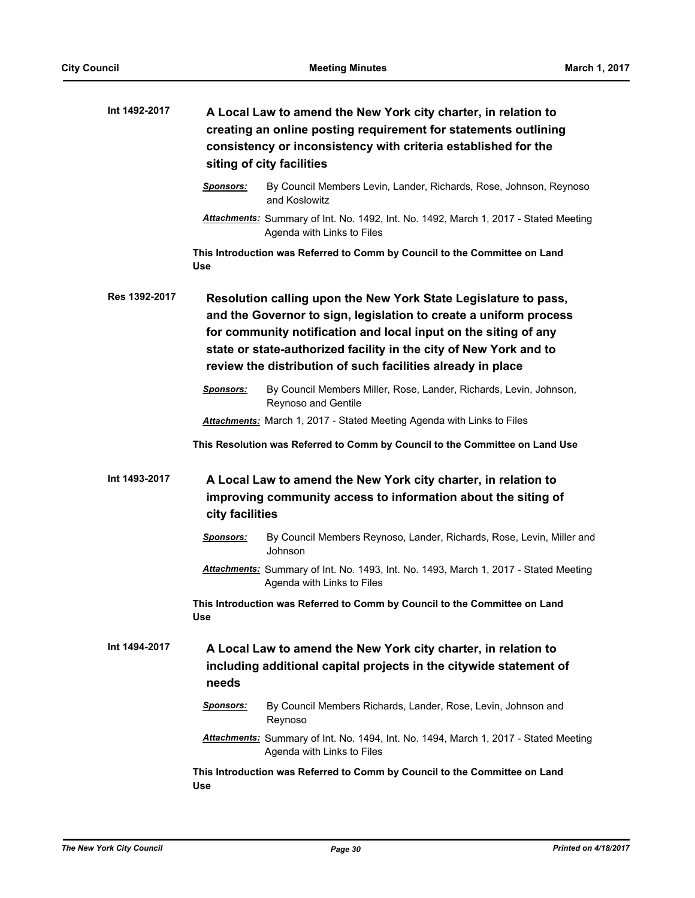| Int 1492-2017 |                                                                                                                                                                                                                                                                                                                                             | A Local Law to amend the New York city charter, in relation to<br>creating an online posting requirement for statements outlining<br>consistency or inconsistency with criteria established for the<br>siting of city facilities |  |
|---------------|---------------------------------------------------------------------------------------------------------------------------------------------------------------------------------------------------------------------------------------------------------------------------------------------------------------------------------------------|----------------------------------------------------------------------------------------------------------------------------------------------------------------------------------------------------------------------------------|--|
|               | Sponsors:                                                                                                                                                                                                                                                                                                                                   | By Council Members Levin, Lander, Richards, Rose, Johnson, Reynoso<br>and Koslowitz                                                                                                                                              |  |
|               |                                                                                                                                                                                                                                                                                                                                             | Attachments: Summary of Int. No. 1492, Int. No. 1492, March 1, 2017 - Stated Meeting<br>Agenda with Links to Files                                                                                                               |  |
|               | Use                                                                                                                                                                                                                                                                                                                                         | This Introduction was Referred to Comm by Council to the Committee on Land                                                                                                                                                       |  |
| Res 1392-2017 | Resolution calling upon the New York State Legislature to pass,<br>and the Governor to sign, legislation to create a uniform process<br>for community notification and local input on the siting of any<br>state or state-authorized facility in the city of New York and to<br>review the distribution of such facilities already in place |                                                                                                                                                                                                                                  |  |
|               | <b>Sponsors:</b>                                                                                                                                                                                                                                                                                                                            | By Council Members Miller, Rose, Lander, Richards, Levin, Johnson,<br>Reynoso and Gentile                                                                                                                                        |  |
|               |                                                                                                                                                                                                                                                                                                                                             | <b>Attachments:</b> March 1, 2017 - Stated Meeting Agenda with Links to Files                                                                                                                                                    |  |
|               |                                                                                                                                                                                                                                                                                                                                             | This Resolution was Referred to Comm by Council to the Committee on Land Use                                                                                                                                                     |  |
| Int 1493-2017 | A Local Law to amend the New York city charter, in relation to<br>improving community access to information about the siting of<br>city facilities                                                                                                                                                                                          |                                                                                                                                                                                                                                  |  |
|               | <b>Sponsors:</b>                                                                                                                                                                                                                                                                                                                            | By Council Members Reynoso, Lander, Richards, Rose, Levin, Miller and<br>Johnson                                                                                                                                                 |  |
|               |                                                                                                                                                                                                                                                                                                                                             | Attachments: Summary of Int. No. 1493, Int. No. 1493, March 1, 2017 - Stated Meeting<br>Agenda with Links to Files                                                                                                               |  |
|               | <b>Use</b>                                                                                                                                                                                                                                                                                                                                  | This Introduction was Referred to Comm by Council to the Committee on Land                                                                                                                                                       |  |
| Int 1494-2017 | needs                                                                                                                                                                                                                                                                                                                                       | A Local Law to amend the New York city charter, in relation to<br>including additional capital projects in the citywide statement of                                                                                             |  |
|               | Sponsors:                                                                                                                                                                                                                                                                                                                                   | By Council Members Richards, Lander, Rose, Levin, Johnson and<br>Reynoso                                                                                                                                                         |  |
|               |                                                                                                                                                                                                                                                                                                                                             | Attachments: Summary of Int. No. 1494, Int. No. 1494, March 1, 2017 - Stated Meeting<br>Agenda with Links to Files                                                                                                               |  |
|               | Use                                                                                                                                                                                                                                                                                                                                         | This Introduction was Referred to Comm by Council to the Committee on Land                                                                                                                                                       |  |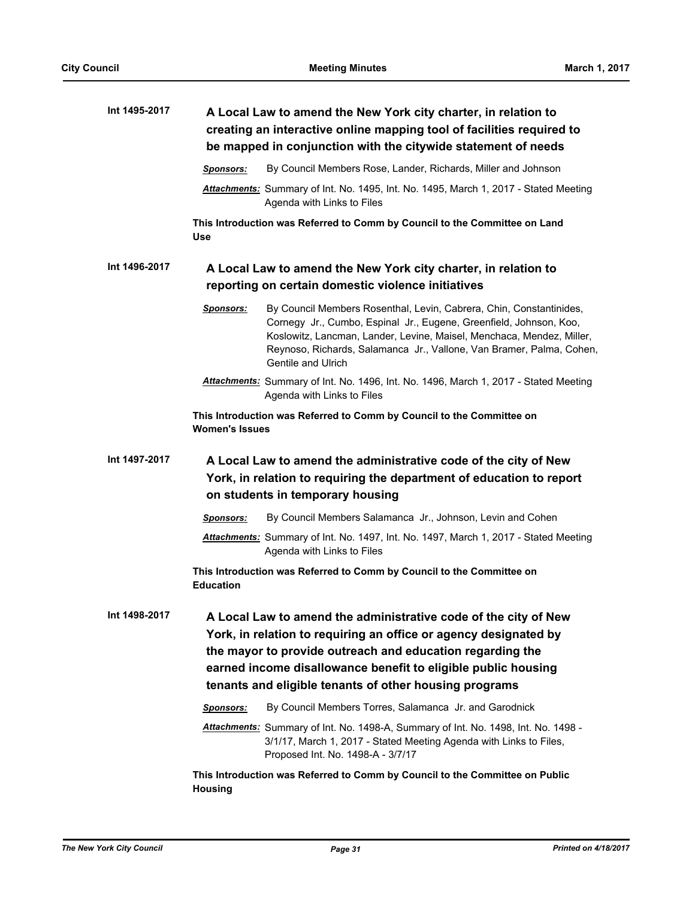| Int 1495-2017 | A Local Law to amend the New York city charter, in relation to<br>creating an interactive online mapping tool of facilities required to<br>be mapped in conjunction with the citywide statement of needs                                                                                                                             |  |
|---------------|--------------------------------------------------------------------------------------------------------------------------------------------------------------------------------------------------------------------------------------------------------------------------------------------------------------------------------------|--|
|               | By Council Members Rose, Lander, Richards, Miller and Johnson<br><b>Sponsors:</b>                                                                                                                                                                                                                                                    |  |
|               | Attachments: Summary of Int. No. 1495, Int. No. 1495, March 1, 2017 - Stated Meeting<br>Agenda with Links to Files                                                                                                                                                                                                                   |  |
|               | This Introduction was Referred to Comm by Council to the Committee on Land<br>Use                                                                                                                                                                                                                                                    |  |
| Int 1496-2017 | A Local Law to amend the New York city charter, in relation to                                                                                                                                                                                                                                                                       |  |
|               | reporting on certain domestic violence initiatives                                                                                                                                                                                                                                                                                   |  |
|               | <b>Sponsors:</b><br>By Council Members Rosenthal, Levin, Cabrera, Chin, Constantinides,<br>Cornegy Jr., Cumbo, Espinal Jr., Eugene, Greenfield, Johnson, Koo,<br>Koslowitz, Lancman, Lander, Levine, Maisel, Menchaca, Mendez, Miller,<br>Reynoso, Richards, Salamanca Jr., Vallone, Van Bramer, Palma, Cohen,<br>Gentile and Ulrich |  |
|               | Attachments: Summary of Int. No. 1496, Int. No. 1496, March 1, 2017 - Stated Meeting<br>Agenda with Links to Files                                                                                                                                                                                                                   |  |
|               | This Introduction was Referred to Comm by Council to the Committee on<br><b>Women's Issues</b>                                                                                                                                                                                                                                       |  |
| Int 1497-2017 | A Local Law to amend the administrative code of the city of New<br>York, in relation to requiring the department of education to report<br>on students in temporary housing                                                                                                                                                          |  |
|               | By Council Members Salamanca Jr., Johnson, Levin and Cohen<br><b>Sponsors:</b>                                                                                                                                                                                                                                                       |  |
|               | Attachments: Summary of Int. No. 1497, Int. No. 1497, March 1, 2017 - Stated Meeting<br>Agenda with Links to Files                                                                                                                                                                                                                   |  |
|               | This Introduction was Referred to Comm by Council to the Committee on<br><b>Education</b>                                                                                                                                                                                                                                            |  |
| Int 1498-2017 | A Local Law to amend the administrative code of the city of New<br>York, in relation to requiring an office or agency designated by<br>the mayor to provide outreach and education regarding the<br>earned income disallowance benefit to eligible public housing<br>tenants and eligible tenants of other housing programs          |  |
|               | By Council Members Torres, Salamanca Jr. and Garodnick<br>Sponsors:                                                                                                                                                                                                                                                                  |  |
|               | Attachments: Summary of Int. No. 1498-A, Summary of Int. No. 1498, Int. No. 1498 -<br>3/1/17, March 1, 2017 - Stated Meeting Agenda with Links to Files,<br>Proposed Int. No. 1498-A - 3/7/17                                                                                                                                        |  |
|               | This Introduction was Referred to Comm by Council to the Committee on Public<br><b>Housing</b>                                                                                                                                                                                                                                       |  |